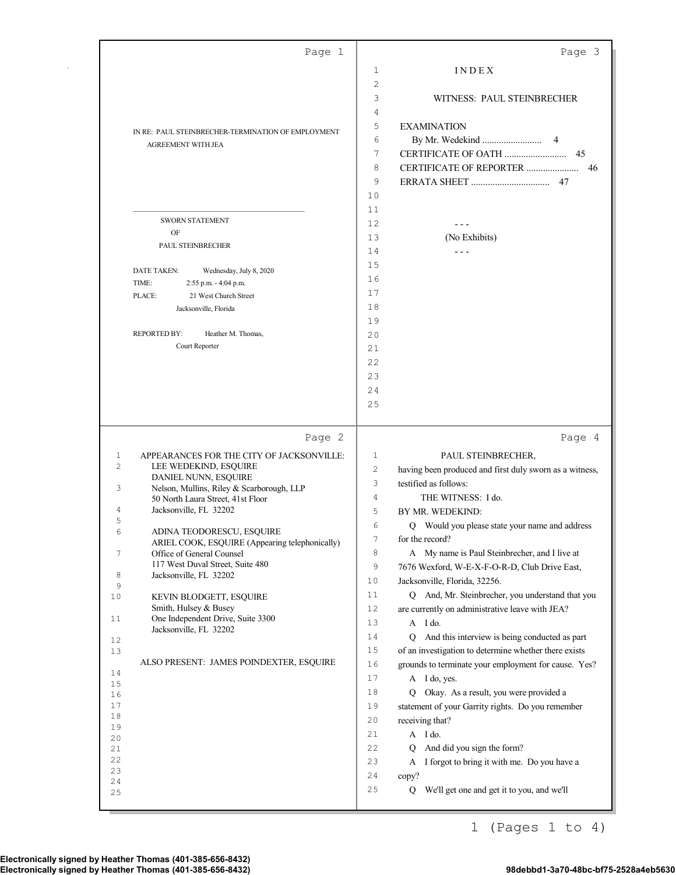|                | Page 1                                                                         |                | Page 3                                                                                                        |
|----------------|--------------------------------------------------------------------------------|----------------|---------------------------------------------------------------------------------------------------------------|
|                |                                                                                | 1              | INDEX                                                                                                         |
|                |                                                                                | 2              |                                                                                                               |
|                |                                                                                | 3              | WITNESS: PAUL STEINBRECHER                                                                                    |
|                |                                                                                | 4              |                                                                                                               |
|                | IN RE: PAUL STEINBRECHER-TERMINATION OF EMPLOYMENT                             | 5              | <b>EXAMINATION</b>                                                                                            |
|                | AGREEMENT WITH JEA                                                             | 6              | 4                                                                                                             |
|                |                                                                                | 7              | 45                                                                                                            |
|                |                                                                                | 8              | CERTIFICATE OF REPORTER<br>46                                                                                 |
|                |                                                                                | 9              | 47                                                                                                            |
|                |                                                                                | 10             |                                                                                                               |
|                | <b>SWORN STATEMENT</b>                                                         | 11             |                                                                                                               |
|                | OF                                                                             | 12             |                                                                                                               |
|                | PAUL STEINBRECHER                                                              | 13             | (No Exhibits)                                                                                                 |
|                |                                                                                | 14<br>15       | $- - -$                                                                                                       |
|                | <b>DATE TAKEN:</b><br>Wednesday, July 8, 2020                                  | 16             |                                                                                                               |
|                | TIME:<br>2:55 p.m. - 4:04 p.m.                                                 | 17             |                                                                                                               |
|                | 21 West Church Street<br>PLACE:<br>Jacksonville, Florida                       | 18             |                                                                                                               |
|                |                                                                                | 19             |                                                                                                               |
|                | <b>REPORTED BY:</b><br>Heather M. Thomas,                                      | 20             |                                                                                                               |
|                | Court Reporter                                                                 | 21             |                                                                                                               |
|                |                                                                                | 22             |                                                                                                               |
|                |                                                                                | 23             |                                                                                                               |
|                |                                                                                | 24             |                                                                                                               |
|                |                                                                                | 25             |                                                                                                               |
|                |                                                                                |                |                                                                                                               |
|                |                                                                                |                |                                                                                                               |
|                | Page 2                                                                         |                | Page 4                                                                                                        |
| $\mathbf{1}$   | APPEARANCES FOR THE CITY OF JACKSONVILLE:                                      | 1              | PAUL STEINBRECHER,                                                                                            |
| $\overline{c}$ | LEE WEDEKIND, ESQUIRE                                                          | 2              | having been produced and first duly sworn as a witness,                                                       |
|                | DANIEL NUNN, ESQUIRE                                                           | 3              | testified as follows:                                                                                         |
| 3              | Nelson, Mullins, Riley & Scarborough, LLP<br>50 North Laura Street, 41st Floor | 4              | THE WITNESS: I do.                                                                                            |
| 4              | Jacksonville, FL 32202                                                         | 5              | BY MR. WEDEKIND:                                                                                              |
| 5<br>6         |                                                                                | 6              | Q Would you please state your name and address                                                                |
|                | ADINA TEODORESCU, ESQUIRE<br>ARIEL COOK, ESQUIRE (Appearing telephonically)    | $\overline{1}$ | for the record?                                                                                               |
| 7              | Office of General Counsel                                                      | 8              | A My name is Paul Steinbrecher, and I live at                                                                 |
| 8              | 117 West Duval Street, Suite 480<br>Jacksonville, FL 32202                     | 9              | 7676 Wexford, W-E-X-F-O-R-D, Club Drive East,                                                                 |
| 9              |                                                                                | 10             | Jacksonville, Florida, 32256.                                                                                 |
| 10             | KEVIN BLODGETT, ESQUIRE                                                        | 11             | Q And, Mr. Steinbrecher, you understand that you                                                              |
| 11             | Smith, Hulsey & Busey<br>One Independent Drive, Suite 3300                     | 12             | are currently on administrative leave with JEA?                                                               |
|                | Jacksonville, FL 32202                                                         | 13             | A I do.                                                                                                       |
| 12             |                                                                                | 14             | And this interview is being conducted as part<br>O.                                                           |
| 13             | ALSO PRESENT: JAMES POINDEXTER, ESQUIRE                                        | $1\,5$<br>16   | of an investigation to determine whether there exists<br>grounds to terminate your employment for cause. Yes? |
| 14             |                                                                                | 17             | A I do, yes.                                                                                                  |
| 15<br>16       |                                                                                | 18             | Q Okay. As a result, you were provided a                                                                      |
| 17             |                                                                                | 19             | statement of your Garrity rights. Do you remember                                                             |
| 18             |                                                                                | 20             | receiving that?                                                                                               |
| 19<br>20       |                                                                                | 21             | A I do.                                                                                                       |
| 21             |                                                                                | 22             | And did you sign the form?<br>Q                                                                               |
| 22             |                                                                                | 23             | A I forgot to bring it with me. Do you have a                                                                 |
| 23<br>24       |                                                                                | 24             | copy?                                                                                                         |
| 25             |                                                                                | 25             | We'll get one and get it to you, and we'll<br>Q                                                               |

1 (Pages 1 to 4)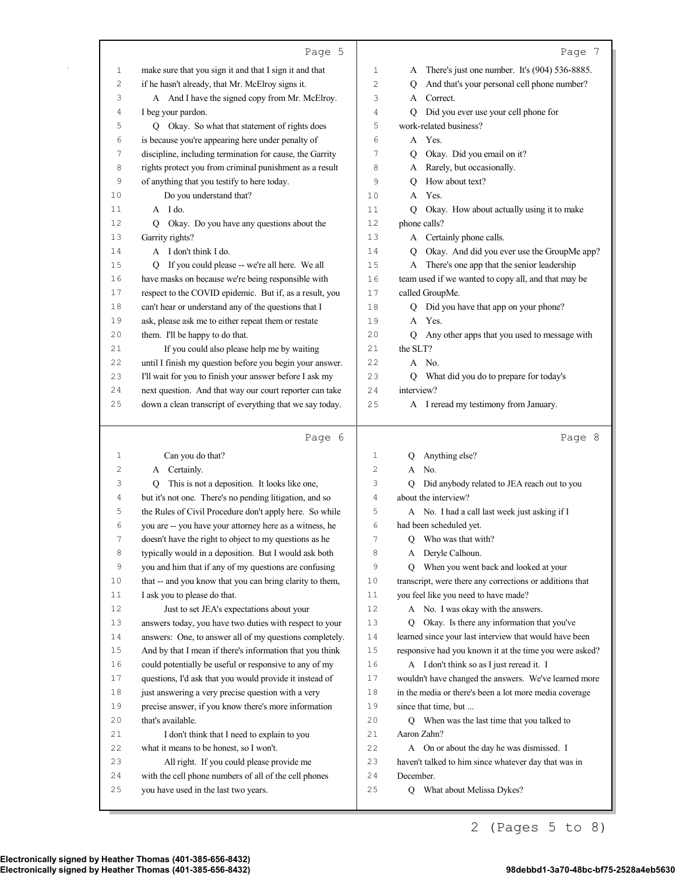|              | Page 5                                                                                                            |          | Page 7                                                                   |
|--------------|-------------------------------------------------------------------------------------------------------------------|----------|--------------------------------------------------------------------------|
| 1            | make sure that you sign it and that I sign it and that                                                            | 1        | There's just one number. It's (904) 536-8885.<br>A                       |
| 2            | if he hasn't already, that Mr. McElroy signs it.                                                                  | 2        | And that's your personal cell phone number?<br>Q                         |
| 3            | A And I have the signed copy from Mr. McElroy.                                                                    | 3        | Correct.<br>A                                                            |
| 4            | I beg your pardon.                                                                                                | 4        | Did you ever use your cell phone for<br>Q                                |
| 5            | Q Okay. So what that statement of rights does                                                                     | 5        | work-related business?                                                   |
| 6            | is because you're appearing here under penalty of                                                                 | 6        | A Yes.                                                                   |
| 7            | discipline, including termination for cause, the Garrity                                                          | 7        | Okay. Did you email on it?<br>Q                                          |
| 8            | rights protect you from criminal punishment as a result                                                           | 8        | Rarely, but occasionally.<br>A                                           |
| 9            | of anything that you testify to here today.                                                                       | 9        | How about text?<br>Q                                                     |
| 10           | Do you understand that?                                                                                           | 10       | Yes.<br>A                                                                |
| 11           | A I do.                                                                                                           | 11       | Okay. How about actually using it to make<br>Q                           |
| 12           | Q Okay. Do you have any questions about the                                                                       | 12       | phone calls?                                                             |
| 13           | Garrity rights?                                                                                                   | 13       | A Certainly phone calls.                                                 |
| 14           | A I don't think I do.                                                                                             | 14       | Okay. And did you ever use the GroupMe app?<br>$\circ$                   |
| 15           | Q If you could please -- we're all here. We all                                                                   | 15       | A There's one app that the senior leadership                             |
| 16           | have masks on because we're being responsible with                                                                | 16       | team used if we wanted to copy all, and that may be                      |
| 17           | respect to the COVID epidemic. But if, as a result, you                                                           | 17       | called GroupMe.                                                          |
| 18           | can't hear or understand any of the questions that I                                                              | 18       | Q Did you have that app on your phone?                                   |
| 19           | ask, please ask me to either repeat them or restate                                                               | 19       | A Yes.                                                                   |
| 20           | them. I'll be happy to do that.                                                                                   | 20       | Q Any other apps that you used to message with                           |
| 21           | If you could also please help me by waiting                                                                       | 21       | the SLT?                                                                 |
| 22           | until I finish my question before you begin your answer.                                                          | 22       | A No.                                                                    |
| 23           | I'll wait for you to finish your answer before I ask my                                                           | 23       | What did you do to prepare for today's<br>Q                              |
| 24           | next question. And that way our court reporter can take                                                           | 24       | interview?                                                               |
| 25           | down a clean transcript of everything that we say today.                                                          | 25       | A I reread my testimony from January.                                    |
|              |                                                                                                                   |          |                                                                          |
|              | Page 6                                                                                                            |          | Page 8                                                                   |
|              |                                                                                                                   |          |                                                                          |
| 1<br>2       | Can you do that?                                                                                                  | 1<br>2   | Anything else?<br>Q<br>A No.                                             |
| 3            | A Certainly.<br>Q                                                                                                 | 3        | O                                                                        |
| 4            | This is not a deposition. It looks like one,                                                                      | 4        | Did anybody related to JEA reach out to you                              |
| 5            | but it's not one. There's no pending litigation, and so                                                           | 5        | about the interview?                                                     |
| 6            | the Rules of Civil Procedure don't apply here. So while                                                           | 6        | A No. I had a call last week just asking if I<br>had been scheduled yet. |
| 7            | you are -- you have your attorney here as a witness, he<br>doesn't have the right to object to my questions as he | 7        | Q Who was that with?                                                     |
| 8            | typically would in a deposition. But I would ask both                                                             | 8        | Deryle Calhoun.<br>A                                                     |
| 9            | you and him that if any of my questions are confusing                                                             | 9        | When you went back and looked at your<br>Q                               |
| $10$         | that -- and you know that you can bring clarity to them,                                                          | 10       | transcript, were there any corrections or additions that                 |
| 11           | I ask you to please do that.                                                                                      | 11       | you feel like you need to have made?                                     |
| 12           | Just to set JEA's expectations about your                                                                         | 12       | A No. I was okay with the answers.                                       |
| 13           | answers today, you have two duties with respect to your                                                           | 13       | Okay. Is there any information that you've<br>Q                          |
| 14           | answers: One, to answer all of my questions completely.                                                           | 14       | learned since your last interview that would have been                   |
| $15$         | And by that I mean if there's information that you think                                                          | $15$     | responsive had you known it at the time you were asked?                  |
| 16           | could potentially be useful or responsive to any of my                                                            | 16       | A I don't think so as I just reread it. I                                |
| 17           | questions, I'd ask that you would provide it instead of                                                           | 17       | wouldn't have changed the answers. We've learned more                    |
| $1\,8$       | just answering a very precise question with a very                                                                | 18       | in the media or there's been a lot more media coverage                   |
| 19           | precise answer, if you know there's more information                                                              | 19       | since that time, but                                                     |
| 20           | that's available.                                                                                                 | 20       | Q When was the last time that you talked to                              |
| 21           | I don't think that I need to explain to you                                                                       | 21       | Aaron Zahn?                                                              |
| 22           | what it means to be honest, so I won't.                                                                           | 22       | A On or about the day he was dismissed. I                                |
| 23           | All right. If you could please provide me                                                                         | 23       | haven't talked to him since whatever day that was in                     |
| $2\,4$<br>25 | with the cell phone numbers of all of the cell phones<br>you have used in the last two years.                     | 24<br>25 | December.<br>What about Melissa Dykes?<br>Q                              |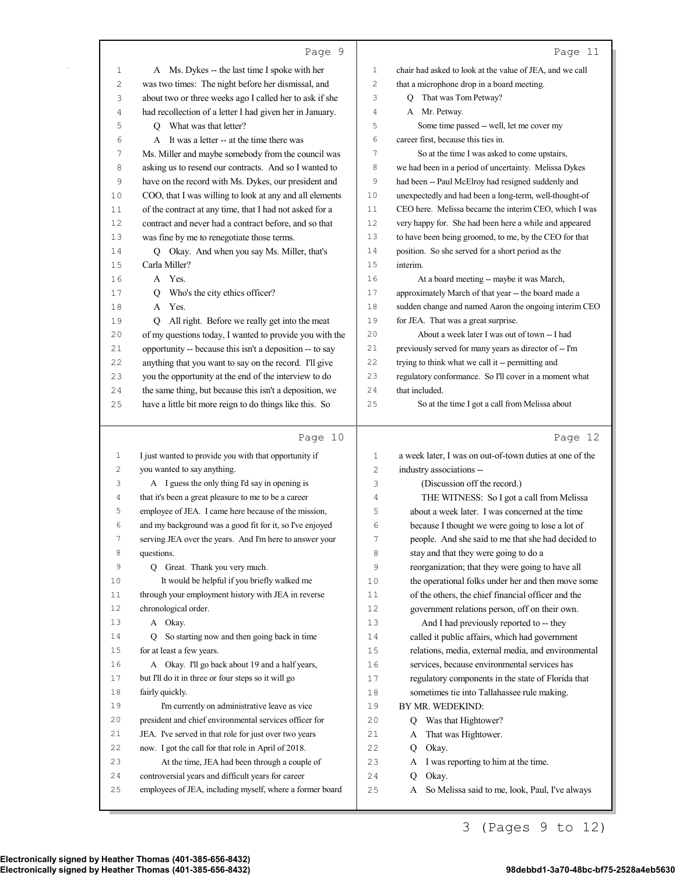|          | Page 9                                                                                                         |                | Page 11                                                           |
|----------|----------------------------------------------------------------------------------------------------------------|----------------|-------------------------------------------------------------------|
| 1        | A Ms. Dykes -- the last time I spoke with her                                                                  | 1              | chair had asked to look at the value of JEA, and we call          |
| 2        | was two times: The night before her dismissal, and                                                             | $\overline{c}$ | that a microphone drop in a board meeting.                        |
| 3        | about two or three weeks ago I called her to ask if she                                                        | 3              | Q That was Tom Petway?                                            |
| 4        | had recollection of a letter I had given her in January.                                                       | $\overline{4}$ | A Mr. Petway.                                                     |
| 5        | Q What was that letter?                                                                                        | 5              | Some time passed -- well, let me cover my                         |
| 6        | A It was a letter -- at the time there was                                                                     | 6              | career first, because this ties in.                               |
| 7        | Ms. Miller and maybe somebody from the council was                                                             | 7              | So at the time I was asked to come upstairs,                      |
| 8        | asking us to resend our contracts. And so I wanted to                                                          | 8              | we had been in a period of uncertainty. Melissa Dykes             |
| 9        | have on the record with Ms. Dykes, our president and                                                           | 9              | had been -- Paul McElroy had resigned suddenly and                |
| 10       | COO, that I was willing to look at any and all elements                                                        | 10             | unexpectedly and had been a long-term, well-thought-of            |
| 11       | of the contract at any time, that I had not asked for a                                                        | 11             | CEO here. Melissa became the interim CEO, which I was             |
| 12       | contract and never had a contract before, and so that                                                          | 12             | very happy for. She had been here a while and appeared            |
| 13       | was fine by me to renegotiate those terms.                                                                     | 13             | to have been being groomed, to me, by the CEO for that            |
| 14       | Okay. And when you say Ms. Miller, that's<br>O.                                                                | 14             | position. So she served for a short period as the                 |
| 15       | Carla Miller?                                                                                                  | 15             | interim.                                                          |
| 16       | A Yes.                                                                                                         | 16             | At a board meeting -- maybe it was March,                         |
| 17       | Who's the city ethics officer?<br>O.                                                                           | 17             | approximately March of that year -- the board made a              |
| 18       | A Yes.                                                                                                         | 18             | sudden change and named Aaron the ongoing interim CEO             |
| 19       | Q All right. Before we really get into the meat                                                                | 19             | for JEA. That was a great surprise.                               |
| 20       | of my questions today, I wanted to provide you with the                                                        | 20             | About a week later I was out of town -- I had                     |
| 21       | opportunity -- because this isn't a deposition -- to say                                                       | 21             | previously served for many years as director of -- I'm            |
| 22       | anything that you want to say on the record. I'll give                                                         | 22             | trying to think what we call it -- permitting and                 |
| 23       | you the opportunity at the end of the interview to do                                                          | 23             | regulatory conformance. So I'll cover in a moment what            |
| 24       | the same thing, but because this isn't a deposition, we                                                        | 24             | that included.                                                    |
| 25       | have a little bit more reign to do things like this. So                                                        | 25             | So at the time I got a call from Melissa about                    |
|          |                                                                                                                |                |                                                                   |
|          | Page 10                                                                                                        |                | Page 12                                                           |
| 1        | I just wanted to provide you with that opportunity if                                                          | 1              | a week later, I was on out-of-town duties at one of the           |
| 2        | you wanted to say anything.                                                                                    | $\overline{c}$ | industry associations --                                          |
| 3        | A I guess the only thing I'd say in opening is                                                                 | 3              | (Discussion off the record.)                                      |
| 4        | that it's been a great pleasure to me to be a career                                                           | 4              | THE WITNESS: So I got a call from Melissa                         |
| 5        | employee of JEA. I came here because of the mission,                                                           | 5              | about a week later. I was concerned at the time                   |
| 6        | and my background was a good fit for it, so I've enjoyed                                                       | 6              | because I thought we were going to lose a lot of                  |
| 7        | serving JEA over the years. And I'm here to answer your                                                        | 7              | people. And she said to me that she had decided to                |
| 8        | questions.                                                                                                     | 8              | stay and that they were going to do a                             |
| 9        | Q Great. Thank you very much.                                                                                  | 9              | reorganization; that they were going to have all                  |
| 10       | It would be helpful if you briefly walked me                                                                   | 10             | the operational folks under her and then move some                |
| 11       | through your employment history with JEA in reverse                                                            | 11             | of the others, the chief financial officer and the                |
| 12       | chronological order.                                                                                           | 12             | government relations person, off on their own.                    |
| 13       | A Okay.                                                                                                        | 13             | And I had previously reported to -- they                          |
| 14       | So starting now and then going back in time<br>Q                                                               | 14             | called it public affairs, which had government                    |
| 15       | for at least a few years.                                                                                      | 15             | relations, media, external media, and environmental               |
| 16       | A Okay. I'll go back about 19 and a half years,                                                                | 16             | services, because environmental services has                      |
| 17       | but I'll do it in three or four steps so it will go                                                            | 17             | regulatory components in the state of Florida that                |
| 18       | fairly quickly.                                                                                                | 18             | sometimes tie into Tallahassee rule making.                       |
| 19       | I'm currently on administrative leave as vice                                                                  | 19             | BY MR. WEDEKIND:                                                  |
| 20       | president and chief environmental services officer for                                                         | 20             | Was that Hightower?<br>Q                                          |
| 21       | JEA. I've served in that role for just over two years                                                          | 21             | That was Hightower.<br>A                                          |
| 22       | now. I got the call for that role in April of 2018.                                                            | 22             | Okay.<br>Q                                                        |
| 23       | At the time, JEA had been through a couple of                                                                  | 23             | I was reporting to him at the time.<br>A                          |
| 24<br>25 | controversial years and difficult years for career<br>employees of JEA, including myself, where a former board | 24<br>25       | Okay.<br>Q<br>So Melissa said to me, look, Paul, I've always<br>A |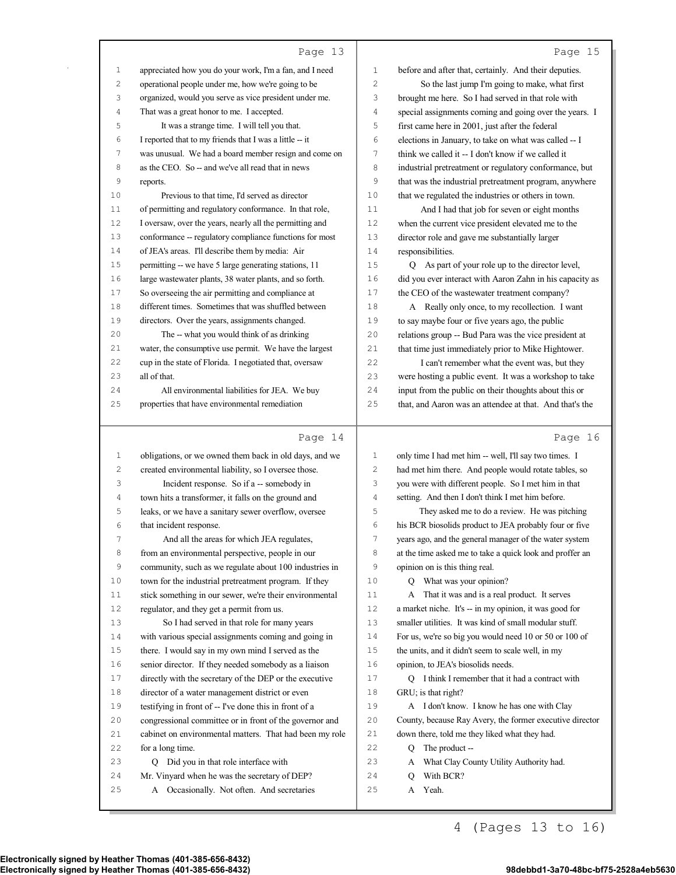|             | Page 13                                                                                                    |              | Page 15                                                                 |
|-------------|------------------------------------------------------------------------------------------------------------|--------------|-------------------------------------------------------------------------|
| $\mathbf 1$ | appreciated how you do your work, I'm a fan, and I need                                                    | 1            | before and after that, certainly. And their deputies.                   |
| 2           | operational people under me, how we're going to be                                                         | 2            | So the last jump I'm going to make, what first                          |
| 3           | organized, would you serve as vice president under me.                                                     | 3            | brought me here. So I had served in that role with                      |
| 4           | That was a great honor to me. I accepted.                                                                  | 4            | special assignments coming and going over the years. I                  |
| 5           | It was a strange time. I will tell you that.                                                               | 5            | first came here in 2001, just after the federal                         |
| 6           | I reported that to my friends that I was a little -- it                                                    | 6            | elections in January, to take on what was called -- I                   |
| 7           | was unusual. We had a board member resign and come on                                                      | 7            | think we called it -- I don't know if we called it                      |
| 8           | as the CEO. So -- and we've all read that in news                                                          | 8            | industrial pretreatment or regulatory conformance, but                  |
| 9           | reports.                                                                                                   | 9            | that was the industrial pretreatment program, anywhere                  |
| 10          | Previous to that time, I'd served as director                                                              | 10           | that we regulated the industries or others in town.                     |
| 11          | of permitting and regulatory conformance. In that role,                                                    | 11           | And I had that job for seven or eight months                            |
| 12          | I oversaw, over the years, nearly all the permitting and                                                   | 12           | when the current vice president elevated me to the                      |
| 13          | conformance -- regulatory compliance functions for most                                                    | 13           | director role and gave me substantially larger                          |
| 14          | of JEA's areas. I'll describe them by media: Air                                                           | 14           | responsibilities.                                                       |
| 15          | permitting -- we have 5 large generating stations, 11                                                      | 15           | Q As part of your role up to the director level,                        |
| 16          | large wastewater plants, 38 water plants, and so forth.                                                    | 16           | did you ever interact with Aaron Zahn in his capacity as                |
| 17          | So overseeing the air permitting and compliance at                                                         | 17           | the CEO of the wastewater treatment company?                            |
| 18          | different times. Sometimes that was shuffled between                                                       | 18           | A Really only once, to my recollection. I want                          |
| 19          | directors. Over the years, assignments changed.                                                            | 19           | to say maybe four or five years ago, the public                         |
| 20          | The -- what you would think of as drinking                                                                 | 20           | relations group -- Bud Para was the vice president at                   |
| 21          | water, the consumptive use permit. We have the largest                                                     | 21           | that time just immediately prior to Mike Hightower.                     |
| 22          | cup in the state of Florida. I negotiated that, oversaw                                                    | 22           | I can't remember what the event was, but they                           |
| 23          | all of that.                                                                                               | 23           | were hosting a public event. It was a workshop to take                  |
| 24          | All environmental liabilities for JEA. We buy                                                              | 24           | input from the public on their thoughts about this or                   |
| 25          | properties that have environmental remediation                                                             | 25           | that, and Aaron was an attendee at that. And that's the                 |
|             |                                                                                                            |              |                                                                         |
|             |                                                                                                            |              |                                                                         |
|             | Page 14                                                                                                    |              | Page 16                                                                 |
| 1           | obligations, or we owned them back in old days, and we                                                     | 1            | only time I had met him -- well, I'll say two times. I                  |
| 2           | created environmental liability, so I oversee those.                                                       | 2            | had met him there. And people would rotate tables, so                   |
| 3           | Incident response. So if a -- somebody in                                                                  | 3            | you were with different people. So I met him in that                    |
| 4           | town hits a transformer, it falls on the ground and                                                        | 4            | setting. And then I don't think I met him before.                       |
| 5           | leaks, or we have a sanitary sewer overflow, oversee                                                       | 5            | They asked me to do a review. He was pitching                           |
| 6           | that incident response.                                                                                    | 6            | his BCR biosolids product to JEA probably four or five                  |
| 7           | And all the areas for which JEA regulates,                                                                 | 7            | years ago, and the general manager of the water system                  |
| 8           | from an environmental perspective, people in our                                                           | 8            | at the time asked me to take a quick look and proffer an                |
| 9           | community, such as we regulate about 100 industries in                                                     | 9            | opinion on is this thing real.                                          |
| 10          | town for the industrial pretreatment program. If they                                                      | 10<br>11     | Q What was your opinion?                                                |
| 11<br>12    | stick something in our sewer, we're their environmental                                                    |              | A That it was and is a real product. It serves                          |
| 13          | regulator, and they get a permit from us.                                                                  | $1\,2$<br>13 | a market niche. It's -- in my opinion, it was good for                  |
| 14          | So I had served in that role for many years                                                                | 14           | smaller utilities. It was kind of small modular stuff.                  |
| $15$        | with various special assignments coming and going in                                                       | 15           | For us, we're so big you would need 10 or 50 or 100 of                  |
| 16          | there. I would say in my own mind I served as the                                                          | 16           | the units, and it didn't seem to scale well, in my                      |
| $17$        | senior director. If they needed somebody as a liaison                                                      | $17\,$       | opinion, to JEA's biosolids needs.                                      |
| $1\,8$      | directly with the secretary of the DEP or the executive<br>director of a water management district or even | 18           | Q I think I remember that it had a contract with<br>GRU; is that right? |
| 19          | testifying in front of -- I've done this in front of a                                                     | 19           | A I don't know. I know he has one with Clay                             |
| 20          | congressional committee or in front of the governor and                                                    | 20           | County, because Ray Avery, the former executive director                |
| 21          | cabinet on environmental matters. That had been my role                                                    | 21           | down there, told me they liked what they had.                           |
| 22          | for a long time.                                                                                           | 22           | The product --<br>Q                                                     |
| 23          | Did you in that role interface with<br>Q                                                                   | 23           | What Clay County Utility Authority had.<br>A                            |
| 24          | Mr. Vinyard when he was the secretary of DEP?                                                              | 24           | With BCR?<br>Q                                                          |

4 (Pages 13 to 16)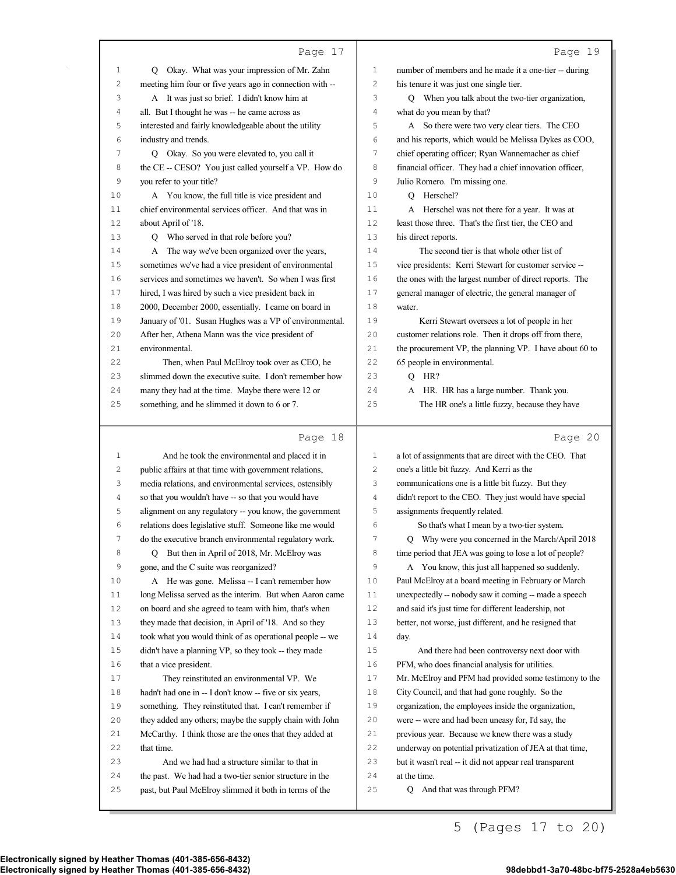|          | Page 17                                                                                                           |                | Page 19                                                  |
|----------|-------------------------------------------------------------------------------------------------------------------|----------------|----------------------------------------------------------|
| 1        | Q Okay. What was your impression of Mr. Zahn                                                                      | 1              | number of members and he made it a one-tier -- during    |
| 2        | meeting him four or five years ago in connection with --                                                          | 2              | his tenure it was just one single tier.                  |
| 3        | A It was just so brief. I didn't know him at                                                                      | 3              | Q When you talk about the two-tier organization,         |
| 4        | all. But I thought he was -- he came across as                                                                    | 4              | what do you mean by that?                                |
| 5        | interested and fairly knowledgeable about the utility                                                             | 5              | A So there were two very clear tiers. The CEO            |
| 6        | industry and trends.                                                                                              | 6              | and his reports, which would be Melissa Dykes as COO,    |
| 7        | Q Okay. So you were elevated to, you call it                                                                      | 7              | chief operating officer; Ryan Wannemacher as chief       |
| 8        | the CE -- CESO? You just called yourself a VP. How do                                                             | 8              | financial officer. They had a chief innovation officer,  |
| 9        | you refer to your title?                                                                                          | 9              | Julio Romero. I'm missing one.                           |
| 10       | A You know, the full title is vice president and                                                                  | 10             | Q Herschel?                                              |
| 11       | chief environmental services officer. And that was in                                                             | 11             | A Herschel was not there for a year. It was at           |
| 12       | about April of '18.                                                                                               | 12             | least those three. That's the first tier, the CEO and    |
| 13       | Q Who served in that role before you?                                                                             | 13             | his direct reports.                                      |
| 14       | A The way we've been organized over the years,                                                                    | 14             | The second tier is that whole other list of              |
| 15       | sometimes we've had a vice president of environmental                                                             | 15             | vice presidents: Kerri Stewart for customer service --   |
| 16       | services and sometimes we haven't. So when I was first                                                            | 16             | the ones with the largest number of direct reports. The  |
| 17       | hired, I was hired by such a vice president back in                                                               | 17             | general manager of electric, the general manager of      |
| 18       | 2000, December 2000, essentially. I came on board in                                                              | 18             | water.                                                   |
| 19       | January of '01. Susan Hughes was a VP of environmental.                                                           | 19             | Kerri Stewart oversees a lot of people in her            |
| 20       | After her, Athena Mann was the vice president of                                                                  | 20             | customer relations role. Then it drops off from there,   |
| 21       | environmental.                                                                                                    | 21             | the procurement VP, the planning VP. I have about 60 to  |
| 22       | Then, when Paul McElroy took over as CEO, he                                                                      | 22             | 65 people in environmental.                              |
| 23       | slimmed down the executive suite. I don't remember how                                                            | 23             | $Q$ HR?                                                  |
| 24       | many they had at the time. Maybe there were 12 or                                                                 | 24             | A HR. HR has a large number. Thank you.                  |
| 25       | something, and he slimmed it down to 6 or 7.                                                                      | 25             | The HR one's a little fuzzy, because they have           |
|          |                                                                                                                   |                |                                                          |
|          | Page 18                                                                                                           |                | Page 20                                                  |
| 1        |                                                                                                                   | $\mathbf{1}$   | a lot of assignments that are direct with the CEO. That  |
| 2        | And he took the environmental and placed it in<br>public affairs at that time with government relations,          | 2              | one's a little bit fuzzy. And Kerri as the               |
| 3        | media relations, and environmental services, ostensibly                                                           | 3              | communications one is a little bit fuzzy. But they       |
| 4        | so that you wouldn't have -- so that you would have                                                               | 4              | didn't report to the CEO. They just would have special   |
| 5        | alignment on any regulatory -- you know, the government                                                           | 5              | assignments frequently related.                          |
| 6        | relations does legislative stuff. Someone like me would                                                           | 6              | So that's what I mean by a two-tier system.              |
| 7        | do the executive branch environmental regulatory work.                                                            | $\overline{7}$ | Q Why were you concerned in the March/April 2018         |
| 8        | But then in April of 2018, Mr. McElroy was<br>Q                                                                   | 8              | time period that JEA was going to lose a lot of people?  |
| 9        | gone, and the C suite was reorganized?                                                                            | 9              | A You know, this just all happened so suddenly.          |
| $1\,0$   | A He was gone. Melissa -- I can't remember how                                                                    | 10             | Paul McElroy at a board meeting in February or March     |
| $11 \,$  | long Melissa served as the interim. But when Aaron came                                                           | 11             | unexpectedly -- nobody saw it coming -- made a speech    |
| 12       | on board and she agreed to team with him, that's when                                                             | $1\,2$         | and said it's just time for different leadership, not    |
| 13       | they made that decision, in April of '18. And so they                                                             | 13             | better, not worse, just different, and he resigned that  |
| 14       | took what you would think of as operational people -- we                                                          | 14             | day.                                                     |
| 15       | didn't have a planning VP, so they took -- they made                                                              | $15$           | And there had been controversy next door with            |
| 16       | that a vice president.                                                                                            | 16             | PFM, who does financial analysis for utilities.          |
| $1\,7$   | They reinstituted an environmental VP. We                                                                         | $17$           | Mr. McElroy and PFM had provided some testimony to the   |
| 18       | hadn't had one in -- I don't know -- five or six years,                                                           | 18             | City Council, and that had gone roughly. So the          |
| 19       | something. They reinstituted that. I can't remember if                                                            | 19             | organization, the employees inside the organization,     |
| 20       | they added any others; maybe the supply chain with John                                                           | 20             | were -- were and had been uneasy for, I'd say, the       |
| 21       | McCarthy. I think those are the ones that they added at                                                           | 21             | previous year. Because we knew there was a study         |
| 22       | that time.                                                                                                        | 22             | underway on potential privatization of JEA at that time, |
| 23       | And we had had a structure similar to that in                                                                     | 23             | but it wasn't real -- it did not appear real transparent |
| 24<br>25 | the past. We had had a two-tier senior structure in the<br>past, but Paul McElroy slimmed it both in terms of the | 24<br>$2\,5$   | at the time.<br>Q And that was through PFM?              |

5 (Pages 17 to 20)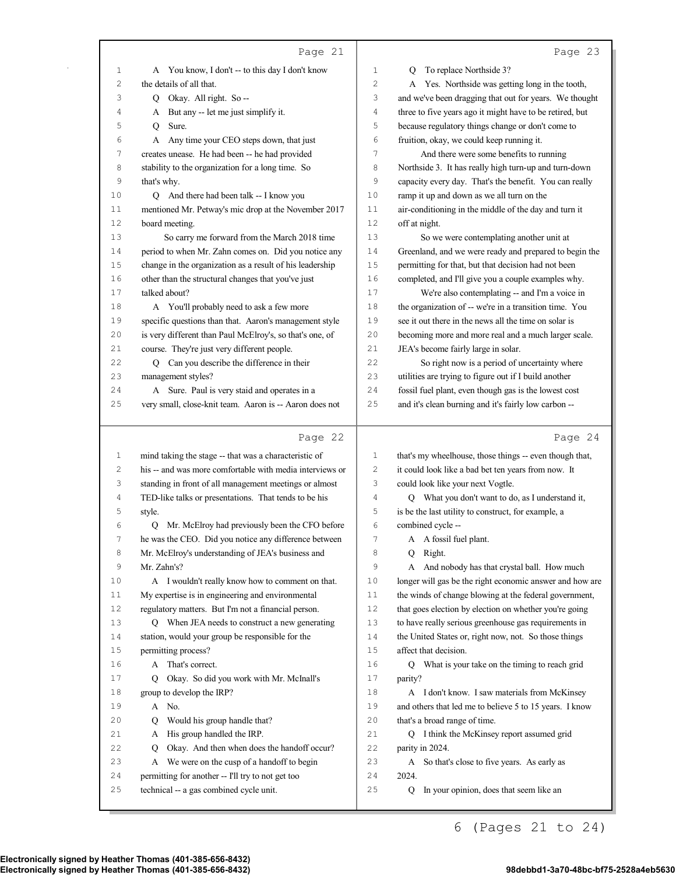|                   | Page 21                                                          |              | Page 23                                                  |
|-------------------|------------------------------------------------------------------|--------------|----------------------------------------------------------|
| 1                 | A You know, I don't -- to this day I don't know                  | 1            | To replace Northside 3?<br>O                             |
| $\overline{c}$    | the details of all that.                                         | 2            | A Yes. Northside was getting long in the tooth,          |
| 3                 | Okay. All right. So --<br>Q.                                     | 3            | and we've been dragging that out for years. We thought   |
| 4                 | But any -- let me just simplify it.<br>A                         | 4            | three to five years ago it might have to be retired, but |
| 5                 | Sure.<br>Q                                                       | 5            | because regulatory things change or don't come to        |
| 6                 | Any time your CEO steps down, that just<br>А                     | 6            | fruition, okay, we could keep running it.                |
| 7                 | creates unease. He had been -- he had provided                   | 7            | And there were some benefits to running                  |
| 8                 | stability to the organization for a long time. So                | 8            | Northside 3. It has really high turn-up and turn-down    |
| 9                 | that's why.                                                      | 9            | capacity every day. That's the benefit. You can really   |
| 10                | Q And there had been talk -- I know you                          | 10           | ramp it up and down as we all turn on the                |
| 11                | mentioned Mr. Petway's mic drop at the November 2017             | 11           | air-conditioning in the middle of the day and turn it    |
| 12                | board meeting.                                                   | 12           | off at night.                                            |
| 13                | So carry me forward from the March 2018 time                     | 13           | So we were contemplating another unit at                 |
| 14                | period to when Mr. Zahn comes on. Did you notice any             | 14           | Greenland, and we were ready and prepared to begin the   |
| 15                | change in the organization as a result of his leadership         | 15           | permitting for that, but that decision had not been      |
| 16                | other than the structural changes that you've just               | 16           | completed, and I'll give you a couple examples why.      |
| 17                | talked about?                                                    | 17           | We're also contemplating -- and I'm a voice in           |
| 18                | A You'll probably need to ask a few more                         | 18           | the organization of -- we're in a transition time. You   |
| 19                | specific questions than that. Aaron's management style           | 19           | see it out there in the news all the time on solar is    |
| 20                | is very different than Paul McElroy's, so that's one, of         | 20           | becoming more and more real and a much larger scale.     |
| 21                | course. They're just very different people.                      | 21           | JEA's become fairly large in solar.                      |
| 22                | Q Can you describe the difference in their                       | 22           | So right now is a period of uncertainty where            |
| 23                | management styles?                                               | 23           | utilities are trying to figure out if I build another    |
| 24                | A Sure. Paul is very staid and operates in a                     | 24           | fossil fuel plant, even though gas is the lowest cost    |
| 25                | very small, close-knit team. Aaron is -- Aaron does not          | 25           | and it's clean burning and it's fairly low carbon --     |
|                   |                                                                  |              |                                                          |
|                   |                                                                  |              |                                                          |
|                   | Page 22                                                          |              | Page 24                                                  |
|                   |                                                                  | 1            |                                                          |
| $\mathbf{1}$<br>2 | mind taking the stage -- that was a characteristic of            | $\mathbf{2}$ | that's my wheelhouse, those things -- even though that,  |
| 3                 | his -- and was more comfortable with media interviews or         | 3            | it could look like a bad bet ten years from now. It      |
| 4                 | standing in front of all management meetings or almost           | 4            | could look like your next Vogtle.                        |
| 5                 | TED-like talks or presentations. That tends to be his<br>style.  | 5            | Q What you don't want to do, as I understand it,         |
| 6                 |                                                                  | 6            | is be the last utility to construct, for example, a      |
| 7                 | Q Mr. McElroy had previously been the CFO before                 | 7            | combined cycle --                                        |
| 8                 | he was the CEO. Did you notice any difference between            | 8            | A A fossil fuel plant.<br>Q Right.                       |
| 9                 | Mr. McElroy's understanding of JEA's business and<br>Mr. Zahn's? | 9            | A And nobody has that crystal ball. How much             |
| 10                | A I wouldn't really know how to comment on that.                 | 10           | longer will gas be the right economic answer and how are |
| 11                | My expertise is in engineering and environmental                 | 11           | the winds of change blowing at the federal government,   |
| 12                | regulatory matters. But I'm not a financial person.              | 12           | that goes election by election on whether you're going   |
| 13                | Q When JEA needs to construct a new generating                   | 13           | to have really serious greenhouse gas requirements in    |
| 14                | station, would your group be responsible for the                 | 14           | the United States or, right now, not. So those things    |
| 15                | permitting process?                                              | 15           | affect that decision.                                    |
| 16                | That's correct.<br>A                                             | 16           | What is your take on the timing to reach grid<br>Q       |
| 17                | Okay. So did you work with Mr. McInall's<br>Q                    | 17           | parity?                                                  |
| 18                | group to develop the IRP?                                        | 18           | A I don't know. I saw materials from McKinsey            |
| 19                | A No.                                                            | 19           | and others that led me to believe 5 to 15 years. I know  |
| 20                | Would his group handle that?<br>Q                                | 20           | that's a broad range of time.                            |
| 21                | His group handled the IRP.<br>А                                  | 21           | Q I think the McKinsey report assumed grid               |
| 22                | Okay. And then when does the handoff occur?<br>Q                 | 22           | parity in 2024.                                          |
| 23                | A We were on the cusp of a handoff to begin                      | 23           | A So that's close to five years. As early as             |
| 24                | permitting for another -- I'll try to not get too                | 24           | 2024.                                                    |
| 25                | technical -- a gas combined cycle unit.                          | 25           | In your opinion, does that seem like an<br>Q             |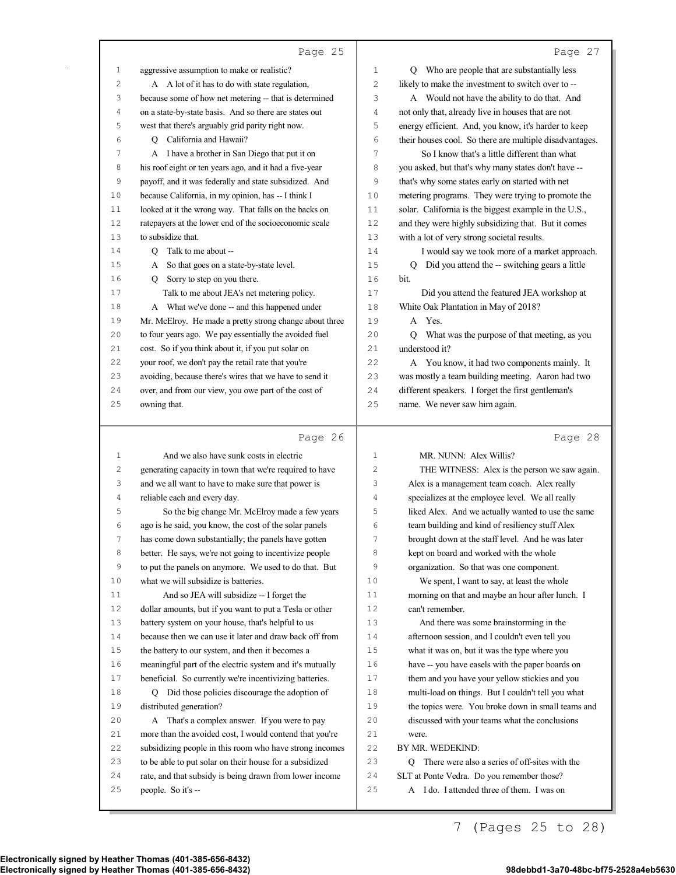|    | Page 25                                                                                                       |             | Page 27                                                                                  |
|----|---------------------------------------------------------------------------------------------------------------|-------------|------------------------------------------------------------------------------------------|
| 1  | aggressive assumption to make or realistic?                                                                   | 1           | Q Who are people that are substantially less                                             |
| 2  | A A lot of it has to do with state regulation,                                                                | 2           | likely to make the investment to switch over to --                                       |
| 3  | because some of how net metering -- that is determined                                                        | 3           | A Would not have the ability to do that. And                                             |
| 4  | on a state-by-state basis. And so there are states out                                                        | 4           | not only that, already live in houses that are not                                       |
| 5  | west that there's arguably grid parity right now.                                                             | 5           | energy efficient. And, you know, it's harder to keep                                     |
| 6  | Q California and Hawaii?                                                                                      | 6           | their houses cool. So there are multiple disadvantages.                                  |
| 7  | A I have a brother in San Diego that put it on                                                                | 7           | So I know that's a little different than what                                            |
| 8  | his roof eight or ten years ago, and it had a five-year                                                       | 8           | you asked, but that's why many states don't have --                                      |
| 9  | payoff, and it was federally and state subsidized. And                                                        | 9           | that's why some states early on started with net                                         |
| 10 | because California, in my opinion, has -- I think I                                                           | 10          | metering programs. They were trying to promote the                                       |
| 11 | looked at it the wrong way. That falls on the backs on                                                        | 11          | solar. California is the biggest example in the U.S.,                                    |
| 12 | ratepayers at the lower end of the socioeconomic scale                                                        | 12          | and they were highly subsidizing that. But it comes                                      |
| 13 | to subsidize that.                                                                                            | 13          | with a lot of very strong societal results.                                              |
| 14 | Q Talk to me about --                                                                                         | 14          | I would say we took more of a market approach.                                           |
| 15 | So that goes on a state-by-state level.<br>A                                                                  | 15          | Q Did you attend the -- switching gears a little                                         |
| 16 | Q Sorry to step on you there.                                                                                 | 16          | bit.                                                                                     |
| 17 | Talk to me about JEA's net metering policy.                                                                   | 17          | Did you attend the featured JEA workshop at                                              |
| 18 | A What we've done -- and this happened under                                                                  | 18          | White Oak Plantation in May of 2018?                                                     |
| 19 | Mr. McElroy. He made a pretty strong change about three                                                       | 19          | A Yes.                                                                                   |
| 20 | to four years ago. We pay essentially the avoided fuel                                                        | 20          | Q What was the purpose of that meeting, as you                                           |
| 21 | cost. So if you think about it, if you put solar on                                                           | 21          | understood it?                                                                           |
| 22 | your roof, we don't pay the retail rate that you're                                                           | 22          | A You know, it had two components mainly. It                                             |
| 23 | avoiding, because there's wires that we have to send it                                                       | 23          | was mostly a team building meeting. Aaron had two                                        |
| 24 | over, and from our view, you owe part of the cost of                                                          | 24          | different speakers. I forget the first gentleman's                                       |
| 25 | owning that.                                                                                                  | 25          | name. We never saw him again.                                                            |
|    |                                                                                                               |             |                                                                                          |
|    |                                                                                                               |             |                                                                                          |
|    | Page 26                                                                                                       |             | Page 28                                                                                  |
| 1  | And we also have sunk costs in electric                                                                       | $\mathbf 1$ | MR. NUNN: Alex Willis?                                                                   |
| 2  |                                                                                                               | 2           | THE WITNESS: Alex is the person we saw again.                                            |
| 3  | generating capacity in town that we're required to have<br>and we all want to have to make sure that power is | 3           | Alex is a management team coach. Alex really                                             |
| 4  | reliable each and every day.                                                                                  | 4           | specializes at the employee level. We all really                                         |
| 5  | So the big change Mr. McElroy made a few years                                                                | 5           | liked Alex. And we actually wanted to use the same                                       |
| 6  | ago is he said, you know, the cost of the solar panels                                                        | 6           | team building and kind of resiliency stuff Alex                                          |
| 7  | has come down substantially; the panels have gotten                                                           | 7           | brought down at the staff level. And he was later                                        |
| 8  | better. He says, we're not going to incentivize people                                                        | 8           | kept on board and worked with the whole                                                  |
| 9  | to put the panels on anymore. We used to do that. But                                                         | 9           | organization. So that was one component.                                                 |
| 10 | what we will subsidize is batteries.                                                                          | 10          | We spent, I want to say, at least the whole                                              |
| 11 | And so JEA will subsidize -- I forget the                                                                     | 11          | morning on that and maybe an hour after lunch. I                                         |
| 12 | dollar amounts, but if you want to put a Tesla or other                                                       | 12          | can't remember.                                                                          |
| 13 | battery system on your house, that's helpful to us                                                            | 13          | And there was some brainstorming in the                                                  |
| 14 | because then we can use it later and draw back off from                                                       | 14          | afternoon session, and I couldn't even tell you                                          |
| 15 | the battery to our system, and then it becomes a                                                              | 15          | what it was on, but it was the type where you                                            |
| 16 | meaningful part of the electric system and it's mutually                                                      | 16          | have -- you have easels with the paper boards on                                         |
| 17 | beneficial. So currently we're incentivizing batteries.                                                       | 17          | them and you have your yellow stickies and you                                           |
| 18 | Q Did those policies discourage the adoption of                                                               | 18          | multi-load on things. But I couldn't tell you what                                       |
| 19 | distributed generation?                                                                                       | 19          | the topics were. You broke down in small teams and                                       |
| 20 | A That's a complex answer. If you were to pay                                                                 | 20          | discussed with your teams what the conclusions                                           |
| 21 | more than the avoided cost, I would contend that you're                                                       | 21          | were.                                                                                    |
| 22 | subsidizing people in this room who have strong incomes                                                       | 22          | BY MR. WEDEKIND:                                                                         |
| 23 | to be able to put solar on their house for a subsidized                                                       | 23          | Q There were also a series of off-sites with the                                         |
| 24 | rate, and that subsidy is being drawn from lower income<br>people. So it's --                                 | 24<br>25    | SLT at Ponte Vedra. Do you remember those?<br>A I do. I attended three of them. I was on |

7 (Pages 25 to 28)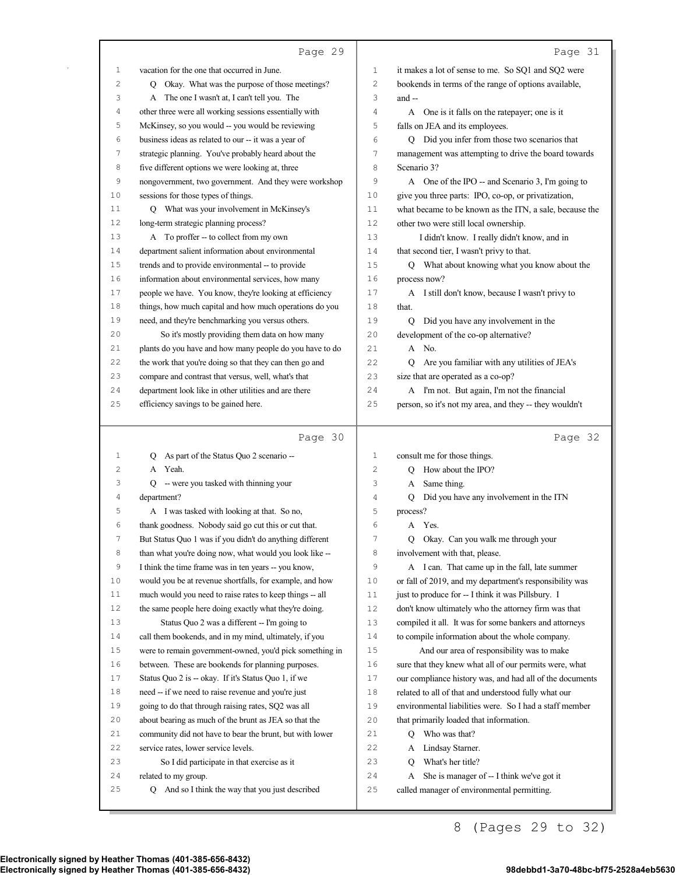|          | Page 29                                                                  |                | Page 31                                                                                       |
|----------|--------------------------------------------------------------------------|----------------|-----------------------------------------------------------------------------------------------|
| 1        | vacation for the one that occurred in June.                              | 1              | it makes a lot of sense to me. So SQ1 and SQ2 were                                            |
| 2        | Q Okay. What was the purpose of those meetings?                          | $\overline{c}$ | bookends in terms of the range of options available,                                          |
| 3        | A The one I wasn't at, I can't tell you. The                             | 3              | and --                                                                                        |
| 4        | other three were all working sessions essentially with                   | 4              | A One is it falls on the ratepayer; one is it                                                 |
| 5        | McKinsey, so you would -- you would be reviewing                         | 5              | falls on JEA and its employees.                                                               |
| 6        | business ideas as related to our -- it was a year of                     | 6              | Q Did you infer from those two scenarios that                                                 |
| 7        | strategic planning. You've probably heard about the                      | 7              | management was attempting to drive the board towards                                          |
| 8        | five different options we were looking at, three                         | 8              | Scenario 3?                                                                                   |
| 9        | nongovernment, two government. And they were workshop                    | 9              | A One of the IPO -- and Scenario 3, I'm going to                                              |
| 10       | sessions for those types of things.                                      | 10             | give you three parts: IPO, co-op, or privatization,                                           |
| 11       | Q What was your involvement in McKinsey's                                | 11             | what became to be known as the ITN, a sale, because the                                       |
| 12       | long-term strategic planning process?                                    | 12             | other two were still local ownership.                                                         |
| 13       | A To proffer -- to collect from my own                                   | 13             | I didn't know. I really didn't know, and in                                                   |
| 14       | department salient information about environmental                       | 14             | that second tier, I wasn't privy to that.                                                     |
| 15       | trends and to provide environmental -- to provide                        | 15             | Q What about knowing what you know about the                                                  |
| 16       | information about environmental services, how many                       | 16             | process now?                                                                                  |
| 17       | people we have. You know, they're looking at efficiency                  | 17             | A I still don't know, because I wasn't privy to                                               |
| 18       | things, how much capital and how much operations do you                  | 18             | that.                                                                                         |
| 19       | need, and they're benchmarking you versus others.                        | 19             | Q Did you have any involvement in the                                                         |
| 20       | So it's mostly providing them data on how many                           | 20             | development of the co-op alternative?                                                         |
| 21       | plants do you have and how many people do you have to do                 | 21             | A No.                                                                                         |
| 22       | the work that you're doing so that they can then go and                  | 22             | Are you familiar with any utilities of JEA's                                                  |
| 23       | compare and contrast that versus, well, what's that                      | 23             | size that are operated as a co-op?                                                            |
| 24       | department look like in other utilities and are there                    | 24             | A I'm not. But again, I'm not the financial                                                   |
| 25       | efficiency savings to be gained here.                                    | 25             | person, so it's not my area, and they -- they wouldn't                                        |
|          |                                                                          |                |                                                                                               |
|          |                                                                          |                |                                                                                               |
|          |                                                                          |                |                                                                                               |
|          | Page 30                                                                  |                | Page 32                                                                                       |
| 1        | As part of the Status Quo 2 scenario --<br>O                             | 1              | consult me for those things.                                                                  |
| 2        | A Yeah.                                                                  | 2              | How about the IPO?                                                                            |
| 3        | $Q$ - were you tasked with thinning your                                 | 3              | Same thing.<br>A                                                                              |
| 4        | department?                                                              | 4              | Did you have any involvement in the ITN<br>Q                                                  |
| 5        | A I was tasked with looking at that. So no,                              | 5              | process?                                                                                      |
| 6        | thank goodness. Nobody said go cut this or cut that.                     | 6              | A Yes.                                                                                        |
| 7        | But Status Quo 1 was if you didn't do anything different                 | 7              | Q Okay. Can you walk me through your                                                          |
| 8        | than what you're doing now, what would you look like --                  | 8              | involvement with that, please.                                                                |
| 9        | I think the time frame was in ten years -- you know,                     | 9              | A I can. That came up in the fall, late summer                                                |
| 10       | would you be at revenue shortfalls, for example, and how                 | 10             | or fall of 2019, and my department's responsibility was                                       |
| 11       | much would you need to raise rates to keep things -- all                 | 11             | just to produce for -- I think it was Pillsbury. I                                            |
| $1\,2$   | the same people here doing exactly what they're doing.                   | 12             | don't know ultimately who the attorney firm was that                                          |
| 13       | Status Quo 2 was a different -- I'm going to                             | 13             | compiled it all. It was for some bankers and attorneys                                        |
| 14       | call them bookends, and in my mind, ultimately, if you                   | 14             | to compile information about the whole company.                                               |
| 15       | were to remain government-owned, you'd pick something in                 | $15$           | And our area of responsibility was to make                                                    |
| 16       | between. These are bookends for planning purposes.                       | 16             | sure that they knew what all of our permits were, what                                        |
| 17       | Status Quo 2 is -- okay. If it's Status Quo 1, if we                     | $17$           | our compliance history was, and had all of the documents                                      |
| 18       | need -- if we need to raise revenue and you're just                      | $1\,8$         | related to all of that and understood fully what our                                          |
| 19       | going to do that through raising rates, SQ2 was all                      | 19             | environmental liabilities were. So I had a staff member                                       |
| $20$     | about bearing as much of the brunt as JEA so that the                    | 20             | that primarily loaded that information.                                                       |
| 21       | community did not have to bear the brunt, but with lower                 | 21             | Q Who was that?                                                                               |
| 22       | service rates, lower service levels.                                     | 22             | Lindsay Starner.<br>A                                                                         |
| 23       | So I did participate in that exercise as it                              | 23             | What's her title?<br>О                                                                        |
| 24<br>25 | related to my group.<br>Q And so I think the way that you just described | 24<br>25       | She is manager of -- I think we've got it<br>A<br>called manager of environmental permitting. |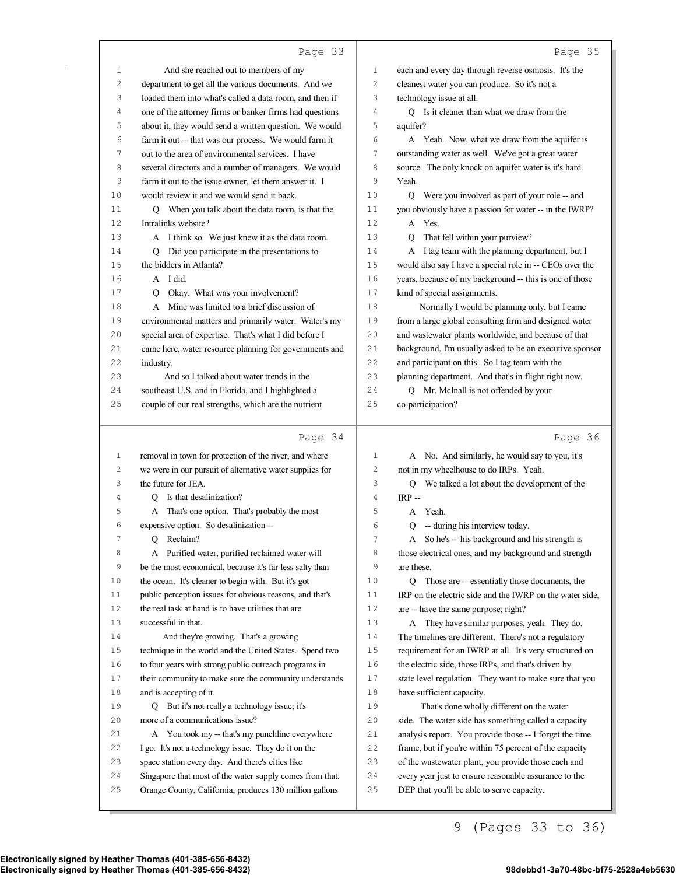|--|--|

| 1        | And she reached out to members of my                                                                                | 1              | each and every day through reverse osmosis. It's the                                                |
|----------|---------------------------------------------------------------------------------------------------------------------|----------------|-----------------------------------------------------------------------------------------------------|
| 2        | department to get all the various documents. And we                                                                 | 2              | cleanest water you can produce. So it's not a                                                       |
| 3        | loaded them into what's called a data room, and then if                                                             | 3              | technology issue at all.                                                                            |
| 4        | one of the attorney firms or banker firms had questions                                                             | 4              | Q Is it cleaner than what we draw from the                                                          |
| 5        | about it, they would send a written question. We would                                                              | 5              | aquifer?                                                                                            |
| 6        | farm it out -- that was our process. We would farm it                                                               | 6              | A Yeah. Now, what we draw from the aquifer is                                                       |
| 7        | out to the area of environmental services. I have                                                                   | 7              | outstanding water as well. We've got a great water                                                  |
| 8        | several directors and a number of managers. We would                                                                | 8              | source. The only knock on aquifer water is it's hard.                                               |
| 9        | farm it out to the issue owner, let them answer it. I                                                               | 9              | Yeah.                                                                                               |
| 10       | would review it and we would send it back.                                                                          | 10             | Q Were you involved as part of your role -- and                                                     |
| 11       | Q When you talk about the data room, is that the                                                                    | 11             | you obviously have a passion for water -- in the IWRP?                                              |
| 12       | Intralinks website?                                                                                                 | 12             | A Yes.                                                                                              |
| 13       | A I think so. We just knew it as the data room.                                                                     | 13             | That fell within your purview?<br>O                                                                 |
| 14       | Q Did you participate in the presentations to                                                                       | 14             | A I tag team with the planning department, but I                                                    |
| 15       | the bidders in Atlanta?                                                                                             | 15             | would also say I have a special role in -- CEOs over the                                            |
| 16       | A I did.                                                                                                            | 16             | years, because of my background -- this is one of those                                             |
| 17       | Q Okay. What was your involvement?                                                                                  | 17             | kind of special assignments.                                                                        |
| 18       | A Mine was limited to a brief discussion of                                                                         | 18             | Normally I would be planning only, but I came                                                       |
| 19       | environmental matters and primarily water. Water's my                                                               | 19             | from a large global consulting firm and designed water                                              |
| 20       | special area of expertise. That's what I did before I                                                               | 20             | and wastewater plants worldwide, and because of that                                                |
| 21       | came here, water resource planning for governments and                                                              | 21             | background, I'm usually asked to be an executive sponsor                                            |
| 22       | industry.                                                                                                           | 22             | and participant on this. So I tag team with the                                                     |
| 23       | And so I talked about water trends in the                                                                           | 23             | planning department. And that's in flight right now.                                                |
| 24       | southeast U.S. and in Florida, and I highlighted a                                                                  | 24             | Q Mr. McInall is not offended by your                                                               |
| 25       | couple of our real strengths, which are the nutrient                                                                | 25             | co-participation?                                                                                   |
|          |                                                                                                                     |                |                                                                                                     |
|          | Page 34                                                                                                             |                | Page 36                                                                                             |
| 1        | removal in town for protection of the river, and where                                                              | 1              | A No. And similarly, he would say to you, it's                                                      |
| 2        | we were in our pursuit of alternative water supplies for                                                            | 2              | not in my wheelhouse to do IRPs. Yeah.                                                              |
| 3        | the future for JEA.                                                                                                 | 3              | Q We talked a lot about the development of the                                                      |
| 4        | Q Is that desalinization?                                                                                           | 4              | $IRP -$                                                                                             |
| 5        | A That's one option. That's probably the most                                                                       | 5              | A Yeah.                                                                                             |
| 6        | expensive option. So desalinization --                                                                              | 6              | Q -- during his interview today.                                                                    |
| 7        | Q Reclaim?                                                                                                          | $\overline{7}$ | A So he's -- his background and his strength is                                                     |
| 8        | Purified water, purified reclaimed water will                                                                       | 8              | those electrical ones, and my background and strength                                               |
| 9        | be the most economical, because it's far less salty than                                                            | 9              | are these.                                                                                          |
| 10       | the ocean. It's cleaner to begin with. But it's got                                                                 | 10             | Q Those are -- essentially those documents, the                                                     |
| 11       | public perception issues for obvious reasons, and that's                                                            | 11             | IRP on the electric side and the IWRP on the water side,                                            |
| 12       | the real task at hand is to have utilities that are                                                                 | 12             | are -- have the same purpose; right?                                                                |
| 13       | successful in that.                                                                                                 | 13             | A They have similar purposes, yeah. They do.                                                        |
| 14       | And they're growing. That's a growing                                                                               | 14             | The timelines are different. There's not a regulatory                                               |
| 15       | technique in the world and the United States. Spend two                                                             | 15             | requirement for an IWRP at all. It's very structured on                                             |
| 16       | to four years with strong public outreach programs in                                                               | 16             | the electric side, those IRPs, and that's driven by                                                 |
| 17       | their community to make sure the community understands                                                              | 17             | state level regulation. They want to make sure that you                                             |
| 18       | and is accepting of it.                                                                                             | 18             | have sufficient capacity.                                                                           |
| 19       | Q But it's not really a technology issue; it's                                                                      | 19             | That's done wholly different on the water                                                           |
| 20       | more of a communications issue?                                                                                     | 20             | side. The water side has something called a capacity                                                |
| 21       | A You took my -- that's my punchline everywhere                                                                     | 21             | analysis report. You provide those -- I forget the time                                             |
|          |                                                                                                                     |                |                                                                                                     |
|          |                                                                                                                     |                |                                                                                                     |
| 22       | I go. It's not a technology issue. They do it on the                                                                | 22             | frame, but if you're within 75 percent of the capacity                                              |
| 23       | space station every day. And there's cities like                                                                    | 23             | of the wastewater plant, you provide those each and                                                 |
| 24<br>25 | Singapore that most of the water supply comes from that.<br>Orange County, California, produces 130 million gallons | 24<br>25       | every year just to ensure reasonable assurance to the<br>DEP that you'll be able to serve capacity. |

9 (Pages 33 to 36)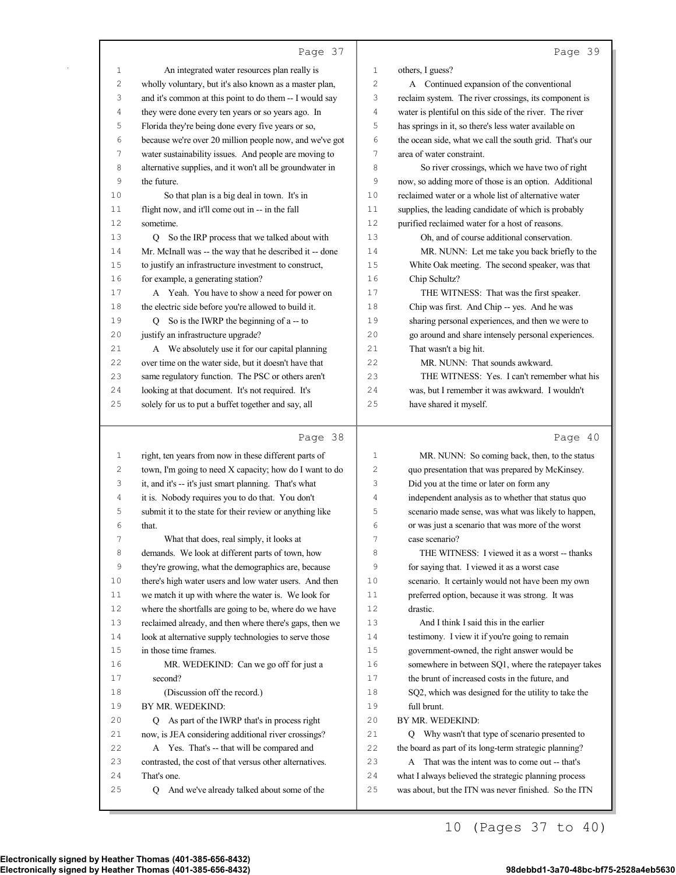|          | Page 37                                                     |             | Page 39                                                                                                        |
|----------|-------------------------------------------------------------|-------------|----------------------------------------------------------------------------------------------------------------|
| 1        | An integrated water resources plan really is                | 1           | others, I guess?                                                                                               |
| 2        | wholly voluntary, but it's also known as a master plan,     | 2           | A Continued expansion of the conventional                                                                      |
| 3        | and it's common at this point to do them -- I would say     | 3           | reclaim system. The river crossings, its component is                                                          |
| 4        | they were done every ten years or so years ago. In          | 4           | water is plentiful on this side of the river. The river                                                        |
| 5        | Florida they're being done every five years or so,          | 5           | has springs in it, so there's less water available on                                                          |
| 6        | because we're over 20 million people now, and we've got     | 6           | the ocean side, what we call the south grid. That's our                                                        |
| 7        | water sustainability issues. And people are moving to       | 7           | area of water constraint.                                                                                      |
| 8        | alternative supplies, and it won't all be groundwater in    | 8           | So river crossings, which we have two of right                                                                 |
| 9        | the future.                                                 | 9           | now, so adding more of those is an option. Additional                                                          |
| 10       | So that plan is a big deal in town. It's in                 | 10          | reclaimed water or a whole list of alternative water                                                           |
| 11       | flight now, and it'll come out in -- in the fall            | 11          | supplies, the leading candidate of which is probably                                                           |
| 12       | sometime.                                                   | 12          | purified reclaimed water for a host of reasons.                                                                |
| 13       | Q So the IRP process that we talked about with              | 13          | Oh, and of course additional conservation.                                                                     |
| 14       | Mr. McInall was -- the way that he described it -- done     | 14          | MR. NUNN: Let me take you back briefly to the                                                                  |
| 15       | to justify an infrastructure investment to construct,       | 15          | White Oak meeting. The second speaker, was that                                                                |
| 16       | for example, a generating station?                          | 16          | Chip Schultz?                                                                                                  |
| 17       | A Yeah. You have to show a need for power on                | 17          | THE WITNESS: That was the first speaker.                                                                       |
| 18       | the electric side before you're allowed to build it.        | 18          | Chip was first. And Chip -- yes. And he was                                                                    |
| 19       | $Q$ So is the IWRP the beginning of a -- to                 | 19          | sharing personal experiences, and then we were to                                                              |
| 20       | justify an infrastructure upgrade?                          | 20          | go around and share intensely personal experiences.                                                            |
| 21       | A We absolutely use it for our capital planning             | 21          | That wasn't a big hit.                                                                                         |
| 22       | over time on the water side, but it doesn't have that       | 22          | MR. NUNN: That sounds awkward.                                                                                 |
| 23       | same regulatory function. The PSC or others aren't          | 23          | THE WITNESS: Yes. I can't remember what his                                                                    |
| 24       | looking at that document. It's not required. It's           | 24          | was, but I remember it was awkward. I wouldn't                                                                 |
| 25       | solely for us to put a buffet together and say, all         | 25          | have shared it myself.                                                                                         |
|          | Page 38                                                     |             | Page 40                                                                                                        |
| 1        | right, ten years from now in these different parts of       | $\mathbf 1$ | MR. NUNN: So coming back, then, to the status                                                                  |
| 2        | town, I'm going to need X capacity; how do I want to do     | 2           | quo presentation that was prepared by McKinsey.                                                                |
| 3        | it, and it's -- it's just smart planning. That's what       | 3           | Did you at the time or later on form any                                                                       |
| 4        | it is. Nobody requires you to do that. You don't            | 4           | independent analysis as to whether that status quo                                                             |
| 5        | submit it to the state for their review or anything like    | 5           | scenario made sense, was what was likely to happen,                                                            |
| 6        | that.                                                       | 6           | or was just a scenario that was more of the worst                                                              |
| 7        | What that does, real simply, it looks at                    | $\prime$    | case scenario?                                                                                                 |
| 8        | demands. We look at different parts of town, how            | 8           | THE WITNESS: I viewed it as a worst -- thanks                                                                  |
| 9        | they're growing, what the demographics are, because         | $\mathsf 9$ | for saying that. I viewed it as a worst case                                                                   |
| 10       | there's high water users and low water users. And then      | 10          | scenario. It certainly would not have been my own                                                              |
| 11       | we match it up with where the water is. We look for         | 11          | preferred option, because it was strong. It was                                                                |
| 12       | where the shortfalls are going to be, where do we have      | 12          | drastic.                                                                                                       |
| 13       | reclaimed already, and then where there's gaps, then we     | 13          | And I think I said this in the earlier                                                                         |
| 14       | look at alternative supply technologies to serve those      | 14          | testimony. I view it if you're going to remain                                                                 |
| 15       | in those time frames.                                       | 15          | government-owned, the right answer would be                                                                    |
| 16       | MR. WEDEKIND: Can we go off for just a                      | 16          | somewhere in between SQ1, where the ratepayer takes                                                            |
| 17       | second?                                                     | 17          | the brunt of increased costs in the future, and                                                                |
| 18       | (Discussion off the record.)                                | 18          | SQ2, which was designed for the utility to take the                                                            |
| 19       | BY MR. WEDEKIND:                                            | 19          | full brunt.                                                                                                    |
| 20       | Q As part of the IWRP that's in process right               | 20          | BY MR. WEDEKIND:                                                                                               |
| 21       | now, is JEA considering additional river crossings?         | 21          | Q Why wasn't that type of scenario presented to                                                                |
| 22       | A Yes. That's -- that will be compared and                  | 22          | the board as part of its long-term strategic planning?                                                         |
| 23<br>24 | contrasted, the cost of that versus other alternatives.     | 23<br>24    | A That was the intent was to come out -- that's                                                                |
|          | That's one.<br>Q And we've already talked about some of the | 25          | what I always believed the strategic planning process<br>was about, but the ITN was never finished. So the ITN |
| 25       |                                                             |             |                                                                                                                |

10 (Pages 37 to 40)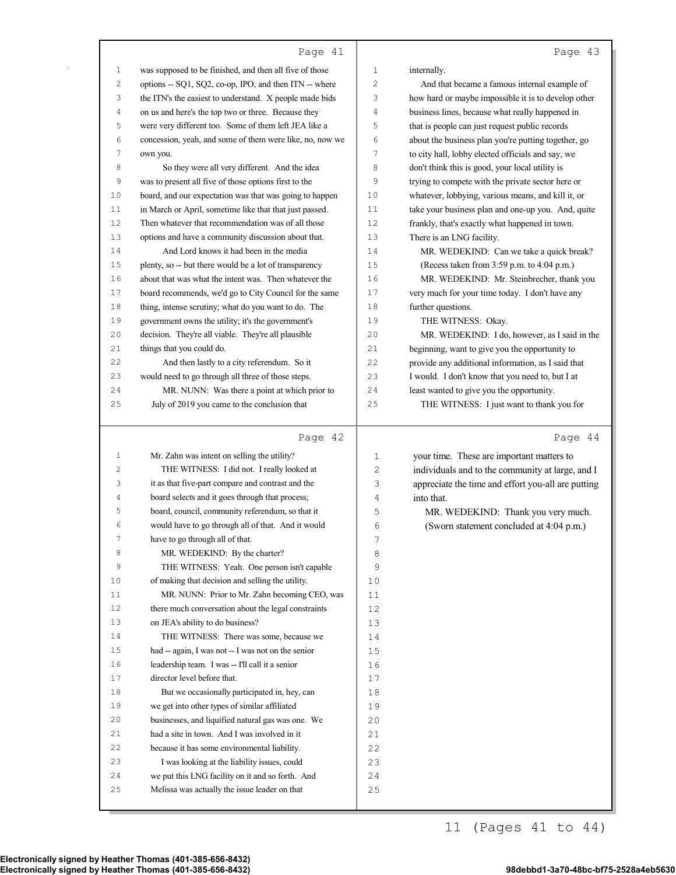### Page |

| $\mathbf{1}$ | was supposed to be finished, and then all five of those                                           | $\mathbf{1}$   | internally.                                         |
|--------------|---------------------------------------------------------------------------------------------------|----------------|-----------------------------------------------------|
| 2            | options -- SQ1, SQ2, co-op, IPO, and then ITN -- where                                            | $\mathbf{2}$   | And that became a famous internal example of        |
| 3            | the ITN's the easiest to understand. X people made bids                                           | 3              | how hard or maybe impossible it is to develop other |
| 4            | on us and here's the top two or three. Because they                                               | 4              | business lines, because what really happened in     |
| 5            | were very different too. Some of them left JEA like a                                             | 5              | that is people can just request public records      |
| 6            | concession, yeah, and some of them were like, no, now we                                          | 6              |                                                     |
| 7            |                                                                                                   | $\overline{7}$ | about the business plan you're putting together, go |
|              | own you.                                                                                          |                | to city hall, lobby elected officials and say, we   |
| 8            | So they were all very different. And the idea                                                     | 8              | don't think this is good, your local utility is     |
| 9            | was to present all five of those options first to the                                             | 9              | trying to compete with the private sector here or   |
| 10           | board, and our expectation was that was going to happen                                           | 10             | whatever, lobbying, various means, and kill it, or  |
| 11           | in March or April, sometime like that that just passed.                                           | 11             | take your business plan and one-up you. And, quite  |
| 12           | Then whatever that recommendation was of all those                                                | 12             | frankly, that's exactly what happened in town.      |
| 13           | options and have a community discussion about that.                                               | 13             | There is an LNG facility.                           |
| 14           | And Lord knows it had been in the media                                                           | 14             | MR. WEDEKIND: Can we take a quick break?            |
| 15           | plenty, so -- but there would be a lot of transparency                                            | 15             | (Recess taken from 3:59 p.m. to 4:04 p.m.)          |
| 16           | about that was what the intent was. Then whatever the                                             | 16             | MR. WEDEKIND: Mr. Steinbrecher, thank you           |
| 17           | board recommends, we'd go to City Council for the same                                            | 17             | very much for your time today. I don't have any     |
| 18           | thing, intense scrutiny; what do you want to do. The                                              | 18             | further questions.                                  |
| 19           | government owns the utility; it's the government's                                                | 19             | THE WITNESS: Okay.                                  |
| 20           | decision. They're all viable. They're all plausible                                               | 20             | MR. WEDEKIND: I do, however, as I said in the       |
| 21           | things that you could do.                                                                         | 21             | beginning, want to give you the opportunity to      |
| 22           | And then lastly to a city referendum. So it                                                       | 22             | provide any additional information, as I said that  |
| 23           | would need to go through all three of those steps.                                                | 23             | I would. I don't know that you need to, but I at    |
| 24           | MR. NUNN: Was there a point at which prior to                                                     | 24             | least wanted to give you the opportunity.           |
| 25           | July of 2019 you came to the conclusion that                                                      | 25             | THE WITNESS: I just want to thank you for           |
|              |                                                                                                   |                |                                                     |
|              |                                                                                                   |                |                                                     |
|              |                                                                                                   |                |                                                     |
|              | Page 42                                                                                           |                | Page 44                                             |
| $\mathbf{1}$ | Mr. Zahn was intent on selling the utility?                                                       | 1              | your time. These are important matters to           |
| 2            | THE WITNESS: I did not. I really looked at                                                        | $\mathbf{2}$   | individuals and to the community at large, and I    |
| 3            | it as that five-part compare and contrast and the                                                 | 3              | appreciate the time and effort you-all are putting  |
| 4            | board selects and it goes through that process;                                                   | $\sqrt{4}$     | into that.                                          |
| 5            | board, council, community referendum, so that it                                                  | 5              | MR. WEDEKIND: Thank you very much.                  |
| 6            | would have to go through all of that. And it would                                                | 6              | (Sworn statement concluded at 4:04 p.m.)            |
| 7            | have to go through all of that.                                                                   | 7              |                                                     |
| 8            | MR. WEDEKIND: By the charter?                                                                     | 8              |                                                     |
| 9            | THE WITNESS: Yeah. One person isn't capable                                                       | 9              |                                                     |
| 10           | of making that decision and selling the utility.                                                  | 10             |                                                     |
| 11           | MR. NUNN: Prior to Mr. Zahn becoming CEO, was                                                     | 11             |                                                     |
| 12           | there much conversation about the legal constraints                                               | 12             |                                                     |
| 13           | on JEA's ability to do business?                                                                  | 13             |                                                     |
| 14           | THE WITNESS: There was some, because we                                                           | 14             |                                                     |
| 15           | had -- again, I was not -- I was not on the senior                                                | 15             |                                                     |
| 16           | leadership team. I was -- I'll call it a senior                                                   | 16             |                                                     |
| 17           | director level before that.                                                                       | 17             |                                                     |
| 18           | But we occasionally participated in, hey, can                                                     | 18             |                                                     |
| 19           | we get into other types of similar affiliated                                                     | 19             |                                                     |
| 20           | businesses, and liquified natural gas was one. We                                                 | 20             |                                                     |
| 21           | had a site in town. And I was involved in it                                                      | 21             |                                                     |
| 22           | because it has some environmental liability.                                                      | 22             |                                                     |
| 23           | I was looking at the liability issues, could                                                      | 23             |                                                     |
| 24           |                                                                                                   |                |                                                     |
| 25           | we put this LNG facility on it and so forth. And<br>Melissa was actually the issue leader on that | 24<br>25       |                                                     |

Electronically signed by Heather Thomas (401-385-656-8432) 98debbd1-3a70-48bc-bf75-2528a4eb5630 Electronically signed by Heather Thomas (401-385-656-8432)

11 (Pages 41 to 44)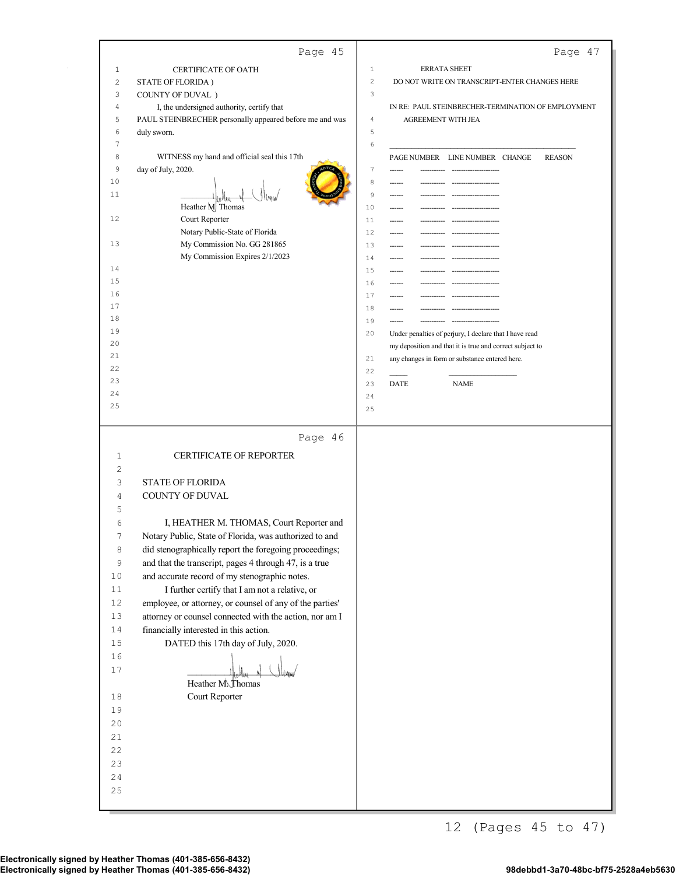|                | Page 45                                                                                           | Page 47                                                           |
|----------------|---------------------------------------------------------------------------------------------------|-------------------------------------------------------------------|
| $1\,$          | CERTIFICATE OF OATH                                                                               | $1\,$<br><b>ERRATA SHEET</b>                                      |
| $\overline{c}$ | STATE OF FLORIDA)                                                                                 | $\overline{c}$<br>DO NOT WRITE ON TRANSCRIPT-ENTER CHANGES HERE   |
| 3              | COUNTY OF DUVAL)                                                                                  | 3                                                                 |
| 4              | I, the undersigned authority, certify that                                                        | IN RE: PAUL STEINBRECHER-TERMINATION OF EMPLOYMENT                |
| 5<br>6         | PAUL STEINBRECHER personally appeared before me and was<br>duly sworn.                            | $\overline{4}$<br>AGREEMENT WITH JEA<br>5                         |
| 7              |                                                                                                   | 6                                                                 |
| 8              | WITNESS my hand and official seal this 17th                                                       | PAGE NUMBER LINE NUMBER CHANGE<br><b>REASON</b>                   |
| 9              | day of July, 2020.                                                                                | 7<br>----------- ---------------------                            |
| 10             |                                                                                                   | 8                                                                 |
| 11             |                                                                                                   | 9<br>---------------------<br>------                              |
| 12             | Heather M. Thomas<br>Court Reporter                                                               | 10<br>------<br>11<br>------<br>----------- --------------------- |
|                | Notary Public-State of Florida                                                                    | 12<br>------                                                      |
| 13             | My Commission No. GG 281865                                                                       | 13                                                                |
|                | My Commission Expires 2/1/2023                                                                    | 14<br>--------------------                                        |
| 14             |                                                                                                   | 15<br>----------- --------------------<br>------                  |
| 15<br>16       |                                                                                                   | 16<br>------------                                                |
| 17             |                                                                                                   | 17<br>------<br>18                                                |
| 18             |                                                                                                   | 19<br>------<br>-------------------                               |
| 19             |                                                                                                   | 20<br>Under penalties of perjury, I declare that I have read      |
| 20             |                                                                                                   | my deposition and that it is true and correct subject to          |
| 21<br>22       |                                                                                                   | 21<br>any changes in form or substance entered here.              |
| 23             |                                                                                                   | 22<br>23<br><b>DATE</b><br><b>NAME</b>                            |
| 24             |                                                                                                   | 24                                                                |
| 25             |                                                                                                   | 25                                                                |
|                |                                                                                                   |                                                                   |
|                | Page 46                                                                                           |                                                                   |
| 1              | <b>CERTIFICATE OF REPORTER</b>                                                                    |                                                                   |
| 2              |                                                                                                   |                                                                   |
| 3              | <b>STATE OF FLORIDA</b>                                                                           |                                                                   |
| 4<br>5         | COUNTY OF DUVAL                                                                                   |                                                                   |
| 6              | I, HEATHER M. THOMAS, Court Reporter and                                                          |                                                                   |
| 7              | Notary Public, State of Florida, was authorized to and                                            |                                                                   |
| 8              | did stenographically report the foregoing proceedings;                                            |                                                                   |
| 9              | and that the transcript, pages 4 through 47, is a true                                            |                                                                   |
| 10             | and accurate record of my stenographic notes.                                                     |                                                                   |
| 11             | I further certify that I am not a relative, or                                                    |                                                                   |
| 12             | employee, or attorney, or counsel of any of the parties'                                          |                                                                   |
| 13<br>$1\,4$   | attorney or counsel connected with the action, nor am I<br>financially interested in this action. |                                                                   |
| $1\,5$         | DATED this 17th day of July, 2020.                                                                |                                                                   |
| 16             |                                                                                                   |                                                                   |
| $17$           |                                                                                                   |                                                                   |
|                | Heather M. Thomas                                                                                 |                                                                   |
| 18             | Court Reporter                                                                                    |                                                                   |
| 19             |                                                                                                   |                                                                   |
| 20             |                                                                                                   |                                                                   |
| 21<br>22       |                                                                                                   |                                                                   |
| 23             |                                                                                                   |                                                                   |
| 24             |                                                                                                   |                                                                   |
| 25             |                                                                                                   |                                                                   |
|                |                                                                                                   |                                                                   |

 $\bar{z}$ 

12 (Pages 45 to 47)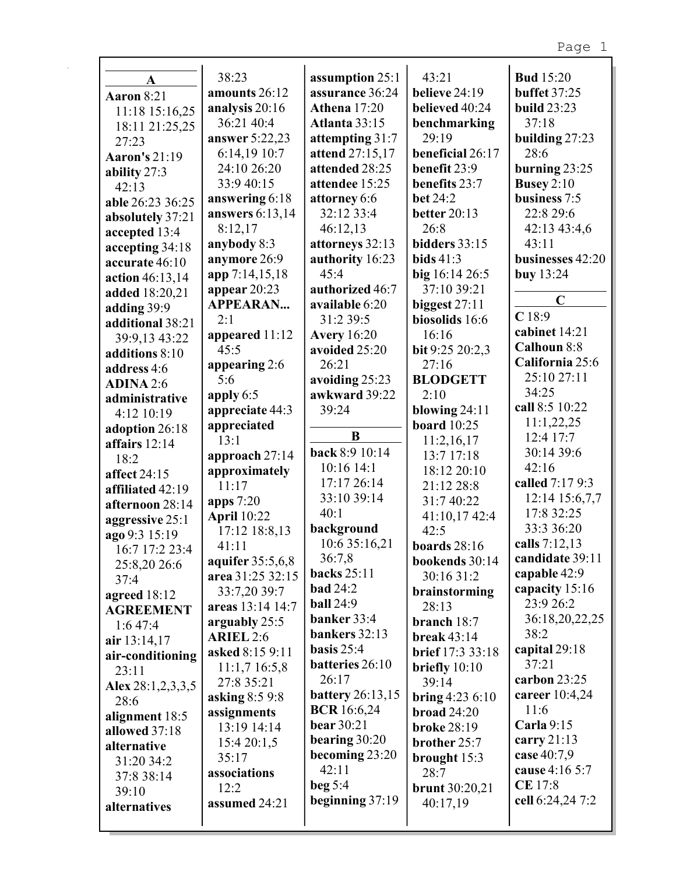| $\mathbf{A}$         | 38:23              | assumption 25:1         | 43:21                  | <b>Bud</b> 15:20    |
|----------------------|--------------------|-------------------------|------------------------|---------------------|
| Aaron 8:21           | amounts 26:12      | assurance 36:24         | believe 24:19          | <b>buffet</b> 37:25 |
| 11:18 15:16,25       | analysis 20:16     | <b>Athena</b> 17:20     | believed 40:24         | <b>build</b> 23:23  |
| 18:11 21:25,25       | 36:21 40:4         | Atlanta 33:15           | benchmarking           | 37:18               |
| 27:23                | answer 5:22,23     | attempting 31:7         | 29:19                  | building 27:23      |
| <b>Aaron's 21:19</b> | 6:14,19 10:7       | attend 27:15,17         | beneficial 26:17       | 28:6                |
| ability 27:3         | 24:10 26:20        | attended 28:25          | benefit 23:9           | burning $23:25$     |
| 42:13                | 33:9 40:15         | attendee 15:25          | benefits 23:7          | Busey $2:10$        |
| able 26:23 36:25     | answering 6:18     | attorney 6:6            | <b>bet</b> 24:2        | business 7:5        |
| absolutely 37:21     | answers 6:13,14    | 32:12 33:4              | better 20:13           | 22:8 29:6           |
| accepted 13:4        | 8:12,17            | 46:12,13                | 26:8                   | 42:13 43:4,6        |
| accepting 34:18      | anybody 8:3        | attorneys 32:13         | bidders 33:15          | 43:11               |
| accurate 46:10       | anymore 26:9       | authority 16:23         | <b>bids</b> 41:3       | businesses 42:20    |
| action 46:13,14      | app 7:14,15,18     | 45:4                    | big 16:14 26:5         | buy 13:24           |
| added 18:20,21       | appear 20:23       | authorized 46:7         | 37:10 39:21            |                     |
| adding 39:9          | <b>APPEARAN</b>    | available 6:20          | biggest $27:11$        | $\mathbf C$         |
| additional 38:21     | 2:1                | 31:2 39:5               | biosolids 16:6         | C18:9               |
| 39:9,13 43:22        | appeared 11:12     | <b>Avery</b> 16:20      | 16:16                  | cabinet 14:21       |
| additions 8:10       | 45:5               | avoided 25:20           | bit 9:25 20:2,3        | Calhoun 8:8         |
| address 4:6          | appearing 2:6      | 26:21                   | 27:16                  | California 25:6     |
| <b>ADINA 2:6</b>     | 5:6                | avoiding 25:23          | <b>BLODGETT</b>        | 25:10 27:11         |
| administrative       | apply $6:5$        | awkward 39:22           | 2:10                   | 34:25               |
| 4:12 10:19           | appreciate 44:3    | 39:24                   | blowing $24:11$        | call 8:5 10:22      |
| adoption 26:18       | appreciated        |                         | <b>board</b> 10:25     | 11:1,22,25          |
| affairs 12:14        | 13:1               | B                       | 11:2,16,17             | 12:4 17:7           |
| 18:2                 | approach 27:14     | back 8:9 10:14          | 13:7 17:18             | 30:14 39:6          |
| affect 24:15         | approximately      | 10:16 14:1              | 18:12 20:10            | 42:16               |
| affiliated 42:19     | 11:17              | 17:17 26:14             | 21:12 28:8             | called 7:17 9:3     |
| afternoon 28:14      | apps 7:20          | 33:10 39:14             | 31:7 40:22             | 12:14 15:6,7,7      |
| aggressive 25:1      | <b>April</b> 10:22 | 40:1                    | 41:10,17 42:4          | 17:8 32:25          |
| ago 9:3 15:19        | 17:12 18:8,13      | background              | 42:5                   | 33:3 36:20          |
| 16:7 17:2 23:4       | 41:11              | 10:6 35:16,21           | boards $28:16$         | calls 7:12,13       |
| 25:8,20 26:6         | aquifer 35:5,6,8   | 36:7,8                  | bookends 30:14         | candidate 39:11     |
| 37:4                 | area 31:25 32:15   | backs 25:11             | 30:16 31:2             | capable 42:9        |
| agreed 18:12         | 33:7,20 39:7       | <b>bad</b> 24:2         | brainstorming          | capacity 15:16      |
| <b>AGREEMENT</b>     | areas 13:14 14:7   | <b>ball</b> 24:9        | 28:13                  | 23:9 26:2           |
| 1:647:4              | arguably 25:5      | banker 33:4             | branch 18:7            | 36:18,20,22,25      |
| air 13:14,17         | <b>ARIEL 2:6</b>   | bankers 32:13           | break $43:14$          | 38:2                |
| air-conditioning     | asked 8:15 9:11    | basis $25:4$            | brief 17:3 33:18       | capital 29:18       |
| 23:11                | 11:1,716:5,8       | batteries 26:10         | briefly $10:10$        | 37:21               |
| Alex $28:1,2,3,3,5$  | 27:8 35:21         | 26:17                   | 39:14                  | carbon 23:25        |
| 28:6                 | asking 8:5 9:8     | <b>battery</b> 26:13,15 | <b>bring</b> 4:23 6:10 | career 10:4,24      |
| alignment 18:5       | assignments        | <b>BCR</b> 16:6,24      | broad $24:20$          | 11:6                |
| allowed 37:18        | 13:19 14:14        | <b>bear</b> 30:21       | <b>broke 28:19</b>     | Carla 9:15          |
| alternative          | 15:420:1,5         | bearing 30:20           | brother 25:7           | carry $21:13$       |
| 31:20 34:2           | 35:17              | becoming 23:20          | brought 15:3           | case 40:7,9         |
| 37:8 38:14           | associations       | 42:11                   | 28:7                   | cause 4:16 5:7      |
| 39:10                | 12:2               | beg $5:4$               | brunt 30:20,21         | <b>CE</b> 17:8      |
| alternatives         | assumed 24:21      | beginning $37:19$       | 40:17,19               | cell 6:24,24 7:2    |
|                      |                    |                         |                        |                     |
|                      |                    |                         |                        |                     |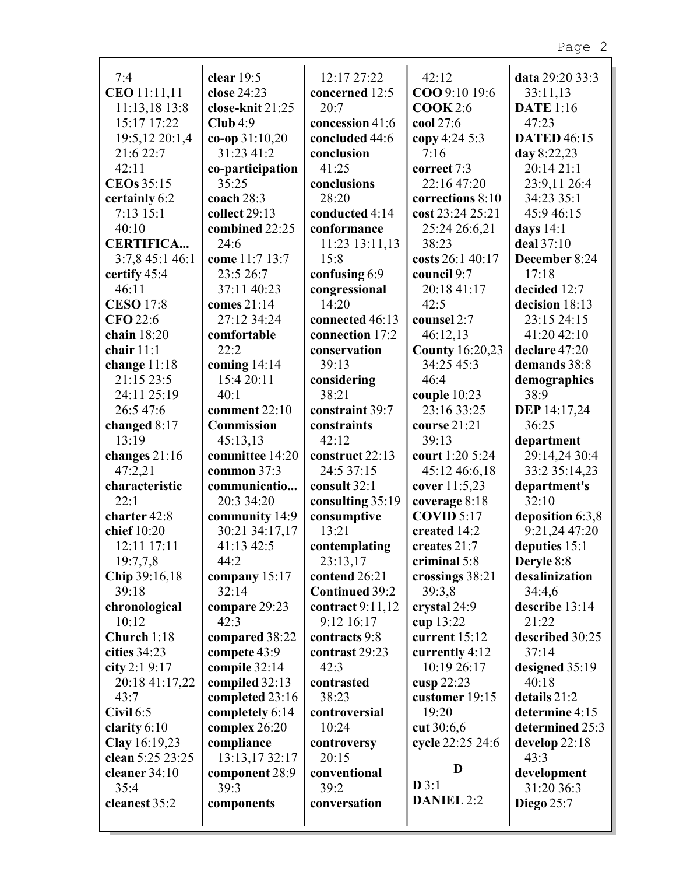| 7:4              | clear $19:5$     | 12:17 27:22           | 42:12                  | data 29:20 33:3     |
|------------------|------------------|-----------------------|------------------------|---------------------|
| CEO 11:11,11     | close 24:23      | concerned 12:5        | COO 9:10 19:6          | 33:11,13            |
| 11:13,18 13:8    | close-knit 21:25 | 20:7                  | COOK 2:6               | <b>DATE</b> 1:16    |
| 15:17 17:22      | Club 4:9         | concession 41:6       | cool 27:6              | 47:23               |
| 19:5,12 20:1,4   | $co-op 31:10,20$ | concluded 44:6        | copy 4:24 5:3          | <b>DATED 46:15</b>  |
| 21:6 22:7        | 31:23 41:2       | conclusion            | 7:16                   | day $8:22,23$       |
| 42:11            | co-participation | 41:25                 | correct 7:3            | 20:14 21:1          |
| CEOs 35:15       | 35:25            | conclusions           | 22:16 47:20            | 23:9,11 26:4        |
| certainly 6:2    | coach 28:3       | 28:20                 | corrections 8:10       | 34:23 35:1          |
| 7:13 15:1        | collect 29:13    | conducted 4:14        | cost 23:24 25:21       | 45:9 46:15          |
| 40:10            | combined 22:25   | conformance           | 25:24 26:6,21          | days $14:1$         |
| <b>CERTIFICA</b> | 24:6             | 11:23 13:11,13        | 38:23                  | deal 37:10          |
| 3:7,8 45:1 46:1  | come 11:7 13:7   | 15:8                  | costs 26:1 40:17       | December 8:24       |
| certify 45:4     | 23:5 26:7        | confusing 6:9         | council 9:7            | 17:18               |
| 46:11            | 37:11 40:23      | congressional         | 20:18 41:17            | decided 12:7        |
| <b>CESO 17:8</b> | comes $21:14$    | 14:20                 | 42:5                   | decision 18:13      |
| <b>CFO</b> 22:6  | 27:12 34:24      | connected 46:13       | counsel 2:7            | 23:15 24:15         |
| chain 18:20      | comfortable      | connection 17:2       | 46:12,13               | 41:20 42:10         |
| chair 11:1       | 22:2             | conservation          | <b>County 16:20,23</b> | declare 47:20       |
| change 11:18     | coming $14:14$   | 39:13                 | 34:25 45:3             | demands 38:8        |
| 21:15 23:5       | 15:4 20:11       | considering           | 46:4                   | demographics        |
| 24:11 25:19      | 40:1             | 38:21                 | couple $10:23$         | 38:9                |
| 26:5 47:6        | comment 22:10    | constraint 39:7       | 23:16 33:25            | <b>DEP</b> 14:17,24 |
| changed 8:17     | Commission       | constraints           | course 21:21           | 36:25               |
| 13:19            | 45:13,13         | 42:12                 | 39:13                  | department          |
| changes 21:16    | committee 14:20  | construct 22:13       | court 1:20 5:24        | 29:14,24 30:4       |
| 47:2,21          | common 37:3      | 24:5 37:15            | 45:12 46:6,18          | 33:2 35:14,23       |
| characteristic   | communicatio     | consult 32:1          | cover 11:5,23          | department's        |
| 22:1             | 20:3 34:20       | consulting 35:19      | coverage 8:18          | 32:10               |
| charter 42:8     | community 14:9   | consumptive           | <b>COVID 5:17</b>      | deposition 6:3,8    |
| chief 10:20      | 30:21 34:17,17   | 13:21                 | created 14:2           | 9:21,24 47:20       |
| 12:11 17:11      | 41:13 42:5       | contemplating         | creates 21:7           | deputies 15:1       |
| 19:7,7,8         | 44:2             | 23:13,17              | criminal 5:8           | Deryle 8:8          |
| Chip 39:16,18    | company 15:17    | contend 26:21         | crossings 38:21        | desalinization      |
| 39:18            | 32:14            | <b>Continued 39:2</b> | 39:3,8                 | 34:4,6              |
| chronological    | compare 29:23    | contract $9:11,12$    | crystal 24:9           | describe 13:14      |
| 10:12            | 42:3             | 9:12 16:17            | cup 13:22              | 21:22               |
| Church 1:18      | compared 38:22   | contracts 9:8         | current 15:12          | described 30:25     |
| cities 34:23     | compete 43:9     | contrast 29:23        | currently 4:12         | 37:14               |
| city 2:1 9:17    | compile 32:14    | 42:3                  | 10:19 26:17            | designed 35:19      |
| 20:18 41:17,22   | compiled 32:13   | contrasted            | cusp 22:23             | 40:18               |
| 43:7             | completed 23:16  | 38:23                 | customer 19:15         | details 21:2        |
| Civil 6:5        | completely 6:14  | controversial         | 19:20                  | determine 4:15      |
| clarity $6:10$   | complex 26:20    | 10:24                 | cut 30:6,6             | determined 25:3     |
| Clay 16:19,23    | compliance       | controversy           | cycle 22:25 24:6       | develop $22:18$     |
| clean 5:25 23:25 | 13:13,17 32:17   | 20:15                 |                        | 43:3                |
| cleaner $34:10$  | component 28:9   | conventional          | D                      | development         |
| 35:4             | 39:3             | 39:2                  | D3:1                   | 31:20 36:3          |
| cleanest 35:2    | components       | conversation          | <b>DANIEL 2:2</b>      | <b>Diego</b> 25:7   |
|                  |                  |                       |                        |                     |
|                  |                  |                       |                        |                     |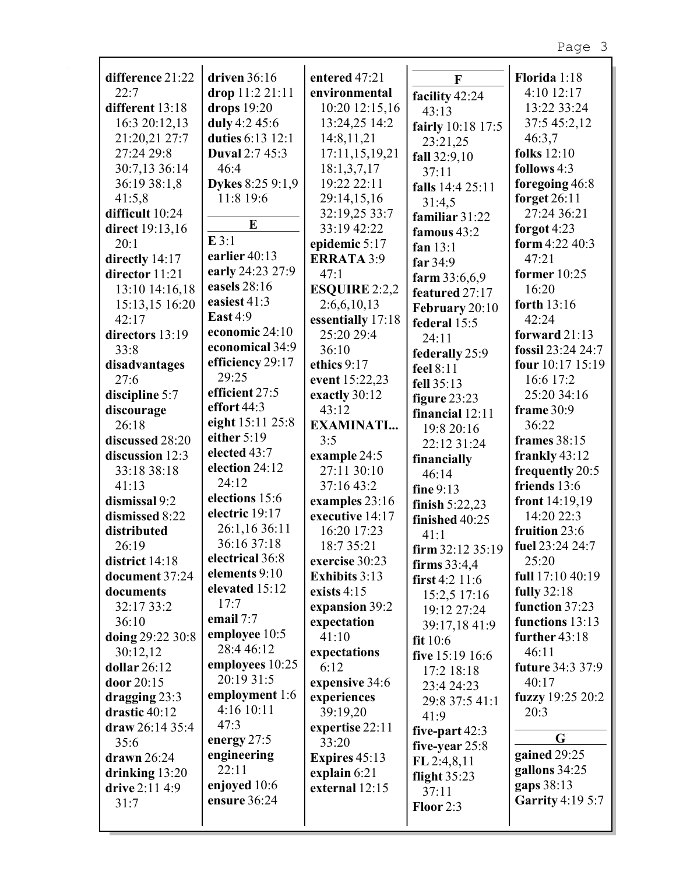| difference 21:22  | driven $36:16$   | entered 47:21        | $\mathbf{F}$                       | Florida 1:18            |
|-------------------|------------------|----------------------|------------------------------------|-------------------------|
| 22:7              | drop 11:2 21:11  | environmental        | facility 42:24                     | 4:10 12:17              |
| different 13:18   | drops $19:20$    | 10:20 12:15,16       | 43:13                              | 13:22 33:24             |
| 16:3 20:12,13     | duly 4:2 45:6    | 13:24,25 14:2        | fairly 10:18 17:5                  | 37:5 45:2,12            |
| 21:20,21 27:7     | duties 6:13 12:1 | 14:8,11,21           | 23:21,25                           | 46:3,7                  |
| 27:24 29:8        | Duval 2:7 45:3   | 17:11,15,19,21       | fall 32:9,10                       | <b>folks</b> 12:10      |
| 30:7,13 36:14     | 46:4             | 18:1,3,7,17          | 37:11                              | follows 4:3             |
| 36:19 38:1,8      | Dykes 8:25 9:1,9 | 19:22 22:11          | falls 14:4 25:11                   | foregoing 46:8          |
| 41:5,8            | 11:8 19:6        | 29:14,15,16          | 31:4,5                             | forget $26:11$          |
| difficult 10:24   |                  | 32:19,25 33:7        | familiar 31:22                     | 27:24 36:21             |
| direct 19:13,16   | E                | 33:19 42:22          | famous 43:2                        | forgot 4:23             |
| 20:1              | E3:1             | epidemic 5:17        | fan $13:1$                         | form 4:22 40:3          |
| directly 14:17    | earlier 40:13    | <b>ERRATA 3:9</b>    | far $34:9$                         | 47:21                   |
| director 11:21    | early 24:23 27:9 | 47:1                 | farm 33:6,6,9                      | former $10:25$          |
| 13:10 14:16,18    | easels 28:16     | <b>ESQUIRE 2:2,2</b> | featured 27:17                     | 16:20                   |
| 15:13,15 16:20    | easiest 41:3     | 2:6,6,10,13          | February 20:10                     | forth 13:16             |
| 42:17             | <b>East 4:9</b>  | essentially 17:18    | federal 15:5                       | 42:24                   |
| directors 13:19   | economic 24:10   | 25:20 29:4           | 24:11                              | forward $21:13$         |
| 33:8              | economical 34:9  | 36:10                | federally 25:9                     | fossil 23:24 24:7       |
| disadvantages     | efficiency 29:17 | ethics 9:17          | feel 8:11                          | four 10:17 15:19        |
| 27:6              | 29:25            | event 15:22,23       | fell 35:13                         | 16:6 17:2               |
| discipline 5:7    | efficient 27:5   | exactly 30:12        | figure $23:23$                     | 25:20 34:16             |
| discourage        | effort 44:3      | 43:12                | financial 12:11                    | frame 30:9              |
| 26:18             | eight 15:11 25:8 | <b>EXAMINATI</b>     | 19:8 20:16                         | 36:22                   |
| discussed 28:20   | either 5:19      | 3:5                  | 22:12 31:24                        | frames 38:15            |
| discussion 12:3   | elected 43:7     | example 24:5         | financially                        | frankly $43:12$         |
| 33:18 38:18       | election 24:12   | 27:11 30:10          | 46:14                              | frequently 20:5         |
| 41:13             | 24:12            | 37:16 43:2           | fine 9:13                          | friends 13:6            |
| dismissal 9:2     | elections 15:6   | examples 23:16       | finish $5:22,23$                   | front 14:19,19          |
| dismissed 8:22    | electric 19:17   | executive 14:17      | finished 40:25                     | 14:20 22:3              |
| distributed       | 26:1,16 36:11    | 16:20 17:23          | 41:1                               | fruition 23:6           |
| 26:19             | 36:16 37:18      | 18:7 35:21           | firm 32:12 35:19   fuel 23:24 24:7 |                         |
| district 14:18    | electrical 36:8  | exercise 30:23       | firms $33:4,4$                     | 25:20                   |
| document 37:24    | elements 9:10    | <b>Exhibits</b> 3:13 | first $4:2$ 11:6                   | full 17:10 40:19        |
| documents         | elevated 15:12   | exists $4:15$        | 15:2,5 17:16                       | <b>fully</b> 32:18      |
| 32:17 33:2        | 17:7             | expansion 39:2       | 19:12 27:24                        | function 37:23          |
| 36:10             | email 7:7        | expectation          | 39:17,18 41:9                      | functions 13:13         |
| doing 29:22 30:8  | employee 10:5    | 41:10                | fit $10:6$                         | further 43:18           |
| 30:12,12          | 28:4 46:12       | expectations         | five 15:19 16:6                    | 46:11                   |
| dollar $26:12$    | employees 10:25  | 6:12                 | 17:2 18:18                         | <b>future 34:3 37:9</b> |
| door 20:15        | 20:19 31:5       | expensive 34:6       | 23:4 24:23                         | 40:17                   |
| dragging $23:3$   | employment 1:6   | experiences          | 29:8 37:5 41:1                     | fuzzy $19:2520:2$       |
| drastic 40:12     | 4:16 10:11       | 39:19,20             | 41:9                               | 20:3                    |
| draw $26:14$ 35:4 | 47:3             | expertise 22:11      | five-part 42:3                     |                         |
| 35:6              | energy 27:5      | 33:20                | five-year 25:8                     | G                       |
| drawn $26:24$     | engineering      | Expires 45:13        | FL 2:4,8,11                        | gained 29:25            |
| drinking $13:20$  | 22:11            | explain $6:21$       | flight $35:23$                     | gallons 34:25           |
| drive 2:11 4:9    | enjoyed 10:6     | external 12:15       | 37:11                              | gaps 38:13              |
| 31:7              | ensure 36:24     |                      | Floor 2:3                          | <b>Garrity 4:19 5:7</b> |
|                   |                  |                      |                                    |                         |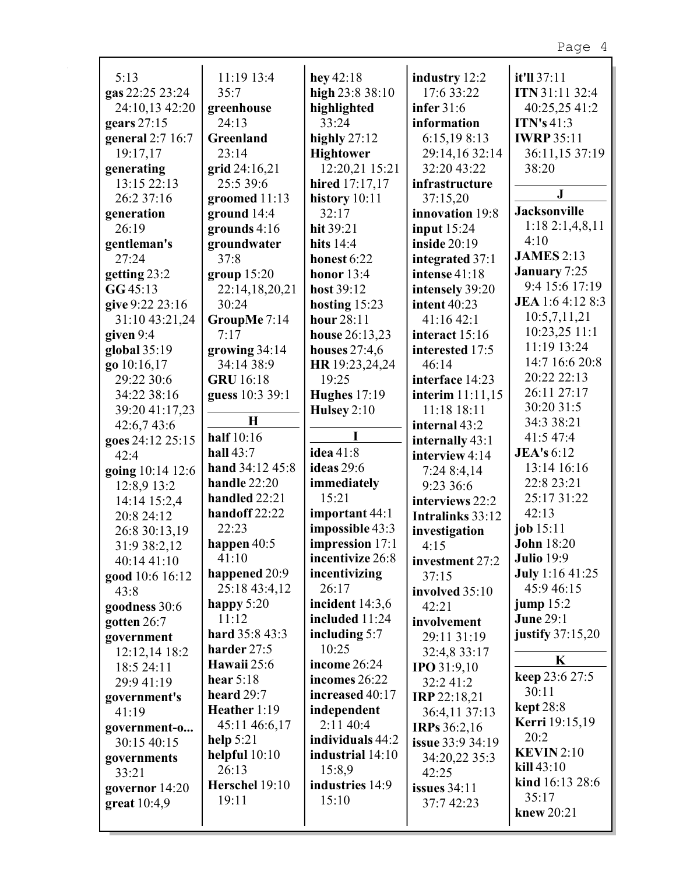| 5:13                           | 11:19 13:4                    | hey $42:18$          | industry 12:2           | it'll 37:11               |
|--------------------------------|-------------------------------|----------------------|-------------------------|---------------------------|
| gas 22:25 23:24                | 35:7                          | high 23:8 38:10      | 17:6 33:22              | ITN 31:11 32:4            |
| 24:10,13 42:20                 | greenhouse                    | highlighted          | infer 31:6              | 40:25,25 41:2             |
| gears 27:15                    | 24:13                         | 33:24                | information             | <b>ITN's 41:3</b>         |
| general 2:7 16:7               | Greenland                     | highly $27:12$       | 6:15,198:13             | <b>IWRP 35:11</b>         |
| 19:17,17                       | 23:14                         | <b>Hightower</b>     | 29:14,16 32:14          | 36:11,15 37:19            |
| generating                     | grid 24:16,21                 | 12:20,21 15:21       | 32:20 43:22             | 38:20                     |
| 13:15 22:13                    | 25:5 39:6                     | hired 17:17,17       | infrastructure          |                           |
| 26:2 37:16                     | groomed 11:13                 | history $10:11$      | 37:15,20                | $\mathbf{J}$              |
| generation                     | ground 14:4                   | 32:17                | innovation 19:8         | <b>Jacksonville</b>       |
| 26:19                          | grounds $4:16$                | hit 39:21            | input $15:24$           | 1:182:1,4,8,11            |
| gentleman's                    | groundwater                   | hits $14:4$          | inside $20:19$          | 4:10                      |
| 27:24                          | 37:8                          | honest 6:22          | integrated 37:1         | <b>JAMES 2:13</b>         |
| getting 23:2                   | group 15:20                   | honor $13:4$         | intense 41:18           | <b>January</b> 7:25       |
| GG45:13                        | 22:14,18,20,21                | host 39:12           | intensely 39:20         | 9:4 15:6 17:19            |
| give 9:22 23:16                | 30:24                         | hosting $15:23$      | <b>intent</b> 40:23     | JEA 1:6 4:12 8:3          |
| 31:10 43:21,24                 | GroupMe 7:14                  | hour 28:11           | 41:1642:1               | 10:5,7,11,21              |
| given 9:4                      | 7:17                          | house 26:13,23       | interact 15:16          | 10:23,25 11:1             |
| global 35:19                   | growing 34:14                 | houses $27:4,6$      | interested 17:5         | 11:19 13:24               |
| go 10:16,17                    | 34:14 38:9                    | HR 19:23,24,24       | 46:14                   | 14:7 16:6 20:8            |
| 29:22 30:6                     | <b>GRU</b> 16:18              | 19:25                | interface 14:23         | 20:22 22:13               |
| 34:22 38:16                    | guess 10:3 39:1               | <b>Hughes</b> 17:19  | interim 11:11,15        | 26:11 27:17               |
| 39:20 41:17,23                 |                               | Hulsey $2:10$        | 11:18 18:11             | 30:20 31:5                |
| 42:6,743:6                     | $\mathbf H$                   |                      | internal 43:2           | 34:3 38:21                |
| goes 24:12 25:15               | half 10:16                    |                      | internally 43:1         | 41:5 47:4                 |
| 42:4                           | hall $43:7$                   | idea 41:8            | interview 4:14          | <b>JEA's</b> 6:12         |
| going 10:14 12:6               | hand 34:12 45:8               | ideas 29:6           | 7:24 8:4,14             | 13:14 16:16               |
| 12:8,9 13:2                    | handle 22:20<br>handled 22:21 | immediately<br>15:21 | 9:23 36:6               | 22:8 23:21<br>25:17 31:22 |
| 14:14 15:2,4                   | handoff 22:22                 | important 44:1       | interviews 22:2         | 42:13                     |
| 20:8 24:12                     | 22:23                         | impossible 43:3      | Intralinks 33:12        | job 15:11                 |
| 26:8 30:13,19                  | happen $40:5$                 | impression 17:1      | investigation           | <b>John 18:20</b>         |
| 31:9 38:2,12                   | 41:10                         | incentivize 26:8     | 4:15<br>investment 27:2 | <b>Julio</b> 19:9         |
| 40:14 41:10<br>good 10:6 16:12 | happened 20:9                 | incentivizing        | 37:15                   | <b>July</b> 1:16 41:25    |
| 43:8                           | 25:18 43:4,12                 | 26:17                | involved 35:10          | 45:9 46:15                |
| goodness 30:6                  | happy 5:20                    | incident $14:3,6$    | 42:21                   | jump $15:2$               |
| gotten 26:7                    | 11:12                         | included 11:24       | involvement             | <b>June 29:1</b>          |
| government                     | hard 35:8 43:3                | including $5:7$      | 29:11 31:19             | justify $37:15,20$        |
| 12:12,14 18:2                  | harder 27:5                   | 10:25                | 32:4,8 33:17            |                           |
| 18:5 24:11                     | Hawaii 25:6                   | income $26:24$       | <b>IPO</b> 31:9,10      | K                         |
| 29:9 41:19                     | hear $5:18$                   | incomes 26:22        | 32:241:2                | keep 23:6 27:5            |
| government's                   | heard 29:7                    | increased 40:17      | <b>IRP</b> 22:18,21     | 30:11                     |
| 41:19                          | Heather 1:19                  | independent          | 36:4,11 37:13           | <b>kept</b> 28:8          |
| government-o                   | 45:11 46:6,17                 | 2:1140:4             | <b>IRPs</b> 36:2,16     | <b>Kerri</b> 19:15,19     |
| 30:15 40:15                    | help $5:21$                   | individuals 44:2     | issue 33:9 34:19        | 20:2                      |
| governments                    | helpful $10:10$               | industrial 14:10     | 34:20,22 35:3           | <b>KEVIN</b> 2:10         |
| 33:21                          | 26:13                         | 15:8,9               | 42:25                   | $\textbf{kill}$ 43:10     |
| governor 14:20                 | Herschel 19:10                | industries 14:9      | issues $34:11$          | kind 16:13 28:6           |
| great 10:4,9                   | 19:11                         | 15:10                | 37:7 42:23              | 35:17                     |
|                                |                               |                      |                         | knew 20:21                |

 $\mathbf{r}$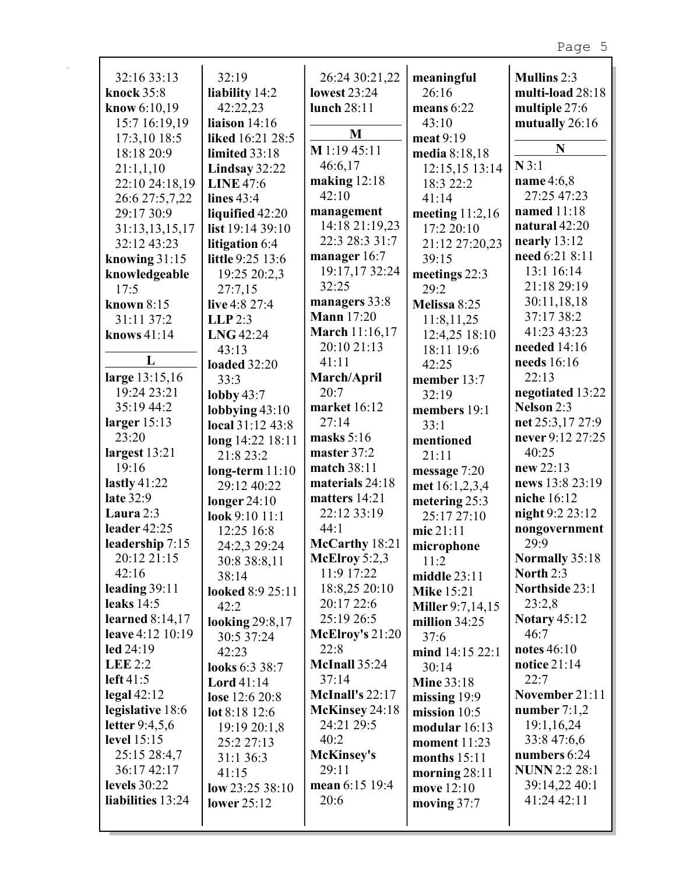|                               | 32:19                             |                                    |                                 |                       |
|-------------------------------|-----------------------------------|------------------------------------|---------------------------------|-----------------------|
| 32:16 33:13                   |                                   | 26:24 30:21,22                     | meaningful<br>26:16             | <b>Mullins 2:3</b>    |
| knock 35:8                    | liability 14:2<br>42:22,23        | <b>lowest 23:24</b><br>lunch 28:11 | means 6:22                      | multi-load 28:18      |
| know 6:10,19<br>15:7 16:19,19 | liaison 14:16                     |                                    | 43:10                           | multiple 27:6         |
|                               | liked 16:21 28:5                  | M                                  | meat 9:19                       | mutually 26:16        |
| 17:3,10 18:5<br>18:18 20:9    | limited 33:18                     | M 1:19 45:11                       |                                 | N                     |
|                               |                                   | 46:6,17                            | media 8:18,18<br>12:15,15 13:14 | $N$ 3:1               |
| 21:1,1,10<br>22:10 24:18,19   | Lindsay 32:22<br><b>LINE 47:6</b> | making $12:18$                     | 18:3 22:2                       | name 4:6,8            |
|                               | lines 43:4                        | 42:10                              | 41:14                           | 27:25 47:23           |
| 26:6 27:5,7,22<br>29:17 30:9  | liquified 42:20                   | management                         | meeting $11:2,16$               | named 11:18           |
| 31:13,13,15,17                | list 19:14 39:10                  | 14:18 21:19,23                     | 17:2 20:10                      | natural 42:20         |
| 32:12 43:23                   | litigation 6:4                    | 22:3 28:3 31:7                     | 21:12 27:20,23                  | nearly $13:12$        |
| knowing $31:15$               | little 9:25 13:6                  | manager 16:7                       | 39:15                           | need 6:21 8:11        |
| knowledgeable                 | 19:25 20:2,3                      | 19:17,17 32:24                     | meetings 22:3                   | 13:1 16:14            |
| 17:5                          | 27:7,15                           | 32:25                              | 29:2                            | 21:18 29:19           |
| known 8:15                    | live 4:8 27:4                     | managers 33:8                      | Melissa 8:25                    | 30:11,18,18           |
| 31:11 37:2                    | $LLP$ 2:3                         | <b>Mann</b> 17:20                  |                                 | 37:17 38:2            |
| knows 41:14                   | LNG 42:24                         | March 11:16,17                     | 11:8,11,25<br>12:4,25 18:10     | 41:23 43:23           |
|                               | 43:13                             | 20:10 21:13                        | 18:11 19:6                      | needed 14:16          |
| L                             | <b>loaded</b> 32:20               | 41:11                              | 42:25                           | needs $16:16$         |
| large 13:15,16                | 33:3                              | March/April                        | member 13:7                     | 22:13                 |
| 19:24 23:21                   | lobby $43:7$                      | 20:7                               | 32:19                           | negotiated 13:22      |
| 35:19 44:2                    | lobbying $43:10$                  | market 16:12                       | members 19:1                    | Nelson 2:3            |
| larger $15:13$                | local 31:12 43:8                  | 27:14                              | 33:1                            | net 25:3,17 27:9      |
| 23:20                         | long 14:22 18:11                  | masks $5:16$                       | mentioned                       | never 9:12 27:25      |
| largest 13:21                 | 21:8 23:2                         | master 37:2                        | 21:11                           | 40:25                 |
| 19:16                         | $long-term 11:10$                 | match 38:11                        | message $7:20$                  | new 22:13             |
| lastly $41:22$                | 29:12 40:22                       | materials 24:18                    | met 16:1,2,3,4                  | news 13:8 23:19       |
| late 32:9                     | longer $24:10$                    | matters 14:21                      | metering 25:3                   | niche 16:12           |
| Laura 2:3                     | look 9:10 11:1                    | 22:12 33:19                        | 25:17 27:10                     | night 9:2 23:12       |
| leader 42:25                  | 12:25 16:8                        | 44:1                               | mic 21:11                       | nongovernment         |
| leadership 7:15               | 24:2,3 29:24                      | McCarthy 18:21                     | microphone                      | 29:9                  |
| 20:12 21:15                   | 30:8 38:8,11                      | McElroy $5:2,3$                    | 11:2                            | <b>Normally 35:18</b> |
| 42:16                         | 38:14                             | 11:9 17:22                         | middle 23:11                    | North 2:3             |
| leading $39:11$               | looked 8:9 25:11                  | 18:8,25 20:10                      | <b>Mike</b> 15:21               | Northside 23:1        |
| leaks $14:5$                  | 42:2                              | 20:17 22:6                         | Miller 9:7,14,15                | 23:2,8                |
| learned $8:14,17$             | looking 29:8,17                   | 25:19 26:5                         | million 34:25                   | <b>Notary 45:12</b>   |
| leave $4:12$ 10:19            | 30:5 37:24                        | McElroy's $21:20$                  | 37:6                            | 46:7                  |
| led 24:19                     | 42:23                             | 22:8                               | mind 14:15 22:1                 | notes 46:10           |
| LEE $2:2$                     | looks 6:3 38:7                    | McInall 35:24                      | 30:14                           | notice 21:14          |
| left 41:5                     | Lord $41:14$                      | 37:14                              | <b>Mine 33:18</b>               | 22:7                  |
| $\text{legal }42:12$          | lose 12:6 20:8                    | McInall's 22:17                    | missing 19:9                    | November 21:11        |
| legislative 18:6              | lot $8:18$ 12:6                   | McKinsey 24:18                     | mission $10:5$                  | number $7:1,2$        |
| letter $9:4,5,6$              | 19:19 20:1,8                      | 24:21 29:5                         | modular 16:13                   | 19:1,16,24            |
| level 15:15                   | 25:2 27:13                        | 40:2                               | moment $11:23$                  | 33:8 47:6,6           |
| 25:15 28:4,7                  | 31:1 36:3                         | <b>McKinsey's</b>                  | months $15:11$                  | numbers 6:24          |
| 36:17 42:17                   | 41:15                             | 29:11                              | morning $28:11$                 | <b>NUNN</b> 2:2 28:1  |
| <b>levels</b> 30:22           | low $23:2538:10$                  | mean 6:15 19:4                     | move 12:10                      | 39:14,22 40:1         |
| liabilities 13:24             | lower $25:12$                     | 20:6                               | moving $37:7$                   | 41:24 42:11           |
|                               |                                   |                                    |                                 |                       |
|                               |                                   |                                    |                                 |                       |

 $\overline{\phantom{a}}$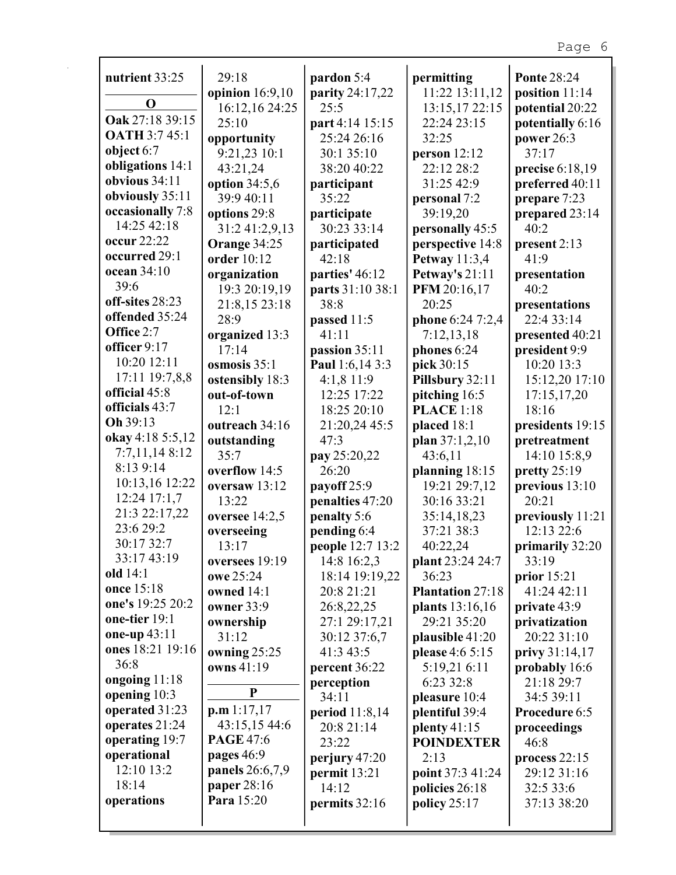| nutrient 33:25                  | 29:18               | pardon 5:4                    | permitting                | <b>Ponte 28:24</b>             |
|---------------------------------|---------------------|-------------------------------|---------------------------|--------------------------------|
| $\bf{O}$                        | opinion $16:9,10$   | parity 24:17,22               | 11:22 13:11,12            | position 11:14                 |
|                                 | 16:12,16 24:25      | 25:5                          | 13:15,17 22:15            | potential 20:22                |
| Oak 27:18 39:15                 | 25:10               | part 4:14 15:15               | 22:24 23:15               | potentially 6:16               |
| <b>OATH 3:7 45:1</b>            | opportunity         | 25:24 26:16                   | 32:25                     | power 26:3                     |
| object 6:7                      | 9:21,23 10:1        | 30:1 35:10                    | person 12:12              | 37:17                          |
| obligations 14:1                | 43:21,24            | 38:20 40:22                   | 22:12 28:2                | precise 6:18,19                |
| obvious 34:11                   | option $34:5,6$     | participant                   | 31:25 42:9                | preferred 40:11                |
| obviously 35:11                 | 39:9 40:11          | 35:22                         | personal 7:2              | prepare 7:23                   |
| occasionally 7:8<br>14:25 42:18 | options 29:8        | participate                   | 39:19,20                  | prepared 23:14                 |
|                                 | 31:2 41:2,9,13      | 30:23 33:14                   | personally 45:5           | 40:2                           |
| occur 22:22                     | Orange 34:25        | participated                  | perspective 14:8          | present 2:13                   |
| occurred 29:1                   | order 10:12         | 42:18                         | <b>Petway</b> 11:3,4      | 41:9                           |
| ocean 34:10<br>39:6             | organization        | parties' 46:12                | Petway's 21:11            | presentation                   |
|                                 | 19:3 20:19,19       | parts 31:10 38:1              | PFM 20:16,17              | 40:2                           |
| off-sites 28:23                 | 21:8,15 23:18       | 38:8                          | 20:25                     | presentations                  |
| offended 35:24<br>Office 2:7    | 28:9                | passed 11:5                   | phone 6:24 7:2,4          | 22:4 33:14                     |
| officer 9:17                    | organized 13:3      | 41:11                         | 7:12,13,18                | presented 40:21                |
| 10:20 12:11                     | 17:14               | passion 35:11                 | phones 6:24               | president 9:9                  |
| 17:11 19:7,8,8                  | osmosis 35:1        | Paul 1:6,14 3:3               | pick 30:15                | 10:20 13:3                     |
| official 45:8                   | ostensibly 18:3     | 4:1,8 11:9                    | Pillsbury 32:11           | 15:12,20 17:10                 |
| officials 43:7                  | out-of-town         | 12:25 17:22                   | pitching 16:5             | 17:15,17,20                    |
| Oh 39:13                        | 12:1                | 18:25 20:10                   | <b>PLACE</b> 1:18         | 18:16                          |
| okay 4:18 5:5,12                | outreach 34:16      | 21:20,24 45:5                 | placed 18:1               | presidents 19:15               |
| 7:7,11,148:12                   | outstanding         | 47:3                          | plan 37:1,2,10            | pretreatment                   |
| 8:13 9:14                       | 35:7                | pay 25:20,22                  | 43:6,11                   | 14:10 15:8,9                   |
| 10:13,16 12:22                  | overflow 14:5       | 26:20                         | planning 18:15            | pretty $25:19$                 |
| 12:24 17:1,7                    | oversaw 13:12       | payoff 25:9                   | 19:21 29:7,12             | previous 13:10                 |
| 21:3 22:17,22                   | 13:22               | penalties 47:20               | 30:16 33:21               | 20:21                          |
| 23:6 29:2                       | oversee 14:2,5      | penalty 5:6                   | 35:14,18,23<br>37:21 38:3 | previously 11:21<br>12:13 22:6 |
| 30:17 32:7                      | overseeing<br>13:17 | pending 6:4                   |                           |                                |
| 33:17 43:19                     | oversees 19:19      | people 12:7 13:2              | 40:22,24                  | primarily 32:20<br>33:19       |
| old 14:1                        | owe 25:24           | 14:8 16:2,3<br>18:14 19:19,22 | plant 23:24 24:7<br>36:23 | prior $15:21$                  |
| once 15:18                      | owned 14:1          | 20:8 21:21                    | <b>Plantation 27:18</b>   | 41:24 42:11                    |
| one's 19:25 20:2                | <b>owner</b> 33:9   | 26:8,22,25                    | plants 13:16,16           | private 43:9                   |
| one-tier 19:1                   | ownership           | 27:1 29:17,21                 | 29:21 35:20               | privatization                  |
| one-up 43:11                    | 31:12               | 30:12 37:6,7                  | plausible 41:20           | 20:22 31:10                    |
| ones 18:21 19:16                | owning 25:25        | 41:3 43:5                     | please 4:6 5:15           | privy 31:14,17                 |
| 36:8                            | owns 41:19          | percent 36:22                 | 5:19,21 6:11              | probably 16:6                  |
| ongoing 11:18                   |                     | perception                    | 6:23 32:8                 | 21:18 29:7                     |
| opening 10:3                    | ${\bf P}$           | 34:11                         | pleasure 10:4             | 34:5 39:11                     |
| operated 31:23                  | p.m 1:17,17         | period 11:8,14                | plentiful 39:4            | Procedure 6:5                  |
| operates 21:24                  | 43:15,15 44:6       | 20:8 21:14                    | plenty $41:15$            | proceedings                    |
| operating 19:7                  | <b>PAGE 47:6</b>    | 23:22                         | <b>POINDEXTER</b>         | 46:8                           |
| operational                     | pages 46:9          | perjury 47:20                 | 2:13                      | process $22:15$                |
| 12:10 13:2                      | panels 26:6,7,9     | permit 13:21                  | point 37:3 41:24          | 29:12 31:16                    |
| 18:14                           | paper 28:16         | 14:12                         | policies 26:18            | 32:5 33:6                      |
| operations                      | Para 15:20          | permits 32:16                 | policy $25:17$            | 37:13 38:20                    |
|                                 |                     |                               |                           |                                |
|                                 |                     |                               |                           |                                |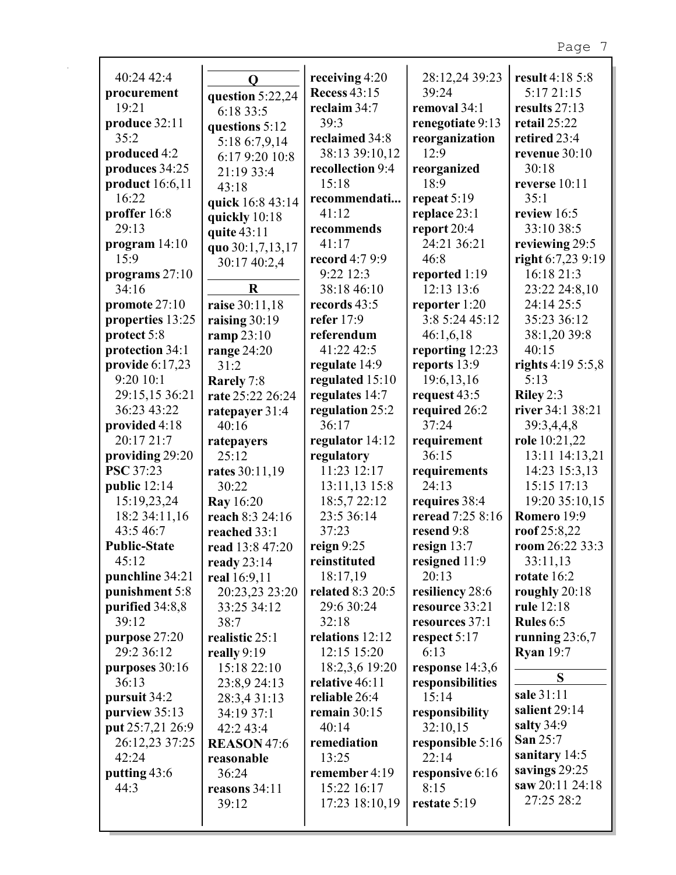| 40:24 42:4           |                    |                                       |                         |                               |
|----------------------|--------------------|---------------------------------------|-------------------------|-------------------------------|
|                      | $\mathbf 0$        | receiving 4:20<br><b>Recess 43:15</b> | 28:12,24 39:23<br>39:24 | result 4:18 5:8<br>5:17 21:15 |
| procurement<br>19:21 | question 5:22,24   | reclaim 34:7                          | removal 34:1            | results 27:13                 |
| produce 32:11        | 6:18 33:5          | 39:3                                  |                         | retail 25:22                  |
| 35:2                 | questions 5:12     | reclaimed 34:8                        | renegotiate 9:13        |                               |
|                      | 5:18 6:7,9,14      |                                       | reorganization<br>12:9  | retired 23:4                  |
| produced 4:2         | 6:17 9:20 10:8     | 38:13 39:10,12                        |                         | revenue 30:10                 |
| produces 34:25       | 21:19 33:4         | recollection 9:4                      | reorganized<br>18:9     | 30:18                         |
| product 16:6,11      | 43:18              | 15:18                                 |                         | reverse 10:11                 |
| 16:22                | quick 16:8 43:14   | recommendati                          | repeat $5:19$           | 35:1                          |
| proffer 16:8         | quickly 10:18      | 41:12                                 | replace 23:1            | review 16:5                   |
| 29:13                | quite 43:11        | recommends                            | report 20:4             | 33:10 38:5                    |
| program 14:10        | quo 30:1,7,13,17   | 41:17                                 | 24:21 36:21             | reviewing 29:5                |
| 15:9                 | 30:17 40:2,4       | record 4:7 9:9                        | 46:8                    | right 6:7,23 9:19             |
| programs 27:10       |                    | 9:22 12:3                             | reported 1:19           | 16:18 21:3                    |
| 34:16                | $\bf R$            | 38:18 46:10                           | 12:13 13:6              | 23:22 24:8,10                 |
| promote 27:10        | raise 30:11,18     | records 43:5                          | reporter 1:20           | 24:14 25:5                    |
| properties 13:25     | raising 30:19      | refer 17:9                            | 3:8 5:24 45:12          | 35:23 36:12                   |
| protect 5:8          | ramp 23:10         | referendum                            | 46:1,6,18               | 38:1,20 39:8                  |
| protection 34:1      | range $24:20$      | 41:22 42:5                            | reporting 12:23         | 40:15                         |
| provide $6:17,23$    | 31:2               | regulate 14:9                         | reports 13:9            | rights $4:195:5,8$            |
| 9:20 10:1            | Rarely 7:8         | regulated 15:10                       | 19:6,13,16              | 5:13                          |
| 29:15,15 36:21       | rate 25:22 26:24   | regulates 14:7                        | request 43:5            | Riley 2:3                     |
| 36:23 43:22          | ratepayer 31:4     | regulation 25:2                       | required 26:2           | river 34:1 38:21              |
| provided 4:18        | 40:16              | 36:17                                 | 37:24                   | 39:3,4,4,8                    |
| 20:17 21:7           | ratepayers         | regulator 14:12                       | requirement             | role 10:21,22                 |
| providing 29:20      | 25:12              | regulatory                            | 36:15                   | 13:11 14:13,21                |
| <b>PSC</b> 37:23     | rates 30:11,19     | 11:23 12:17                           | requirements            | 14:23 15:3,13                 |
| public 12:14         | 30:22              | 13:11,13 15:8                         | 24:13                   | 15:15 17:13                   |
| 15:19,23,24          | <b>Ray</b> 16:20   | 18:5,7 22:12                          | requires 38:4           | 19:20 35:10,15                |
| 18:2 34:11,16        | reach 8:3 24:16    | 23:5 36:14                            | reread 7:25 8:16        | Romero 19:9                   |
| 43:5 46:7            | reached 33:1       | 37:23                                 | resend 9:8              | roof $25:8,22$                |
| <b>Public-State</b>  | read 13:8 47:20    | reign $9:25$                          | resign 13:7             | room 26:22 33:3               |
| 45:12                | ready $23:14$      | reinstituted                          | resigned 11:9           | 33:11,13                      |
| punchline 34:21      | real 16:9,11       | 18:17,19                              | 20:13                   | rotate 16:2                   |
| punishment 5:8       | 20:23,23 23:20     | related 8:3 20:5                      | resiliency 28:6         | roughly 20:18                 |
| purified 34:8,8      | 33:25 34:12        | 29:6 30:24                            | resource 33:21          | rule 12:18                    |
| 39:12                | 38:7               | 32:18                                 | resources 37:1          | <b>Rules</b> $6:5$            |
| purpose $27:20$      | realistic 25:1     | relations 12:12                       | respect 5:17            | running $23:6,7$              |
| 29:2 36:12           | really $9:19$      | 12:15 15:20                           | 6:13                    | <b>Ryan</b> 19:7              |
| purposes 30:16       | 15:18 22:10        | 18:2,3,6 19:20                        | response 14:3,6         | S                             |
| 36:13                | 23:8,9 24:13       | relative 46:11                        | responsibilities        |                               |
| pursuit 34:2         | 28:3,4 31:13       | reliable 26:4                         | 15:14                   | sale 31:11                    |
| purview 35:13        | 34:19 37:1         | remain $30:15$                        | responsibility          | salient 29:14                 |
| put 25:7,21 26:9     | 42:2 43:4          | 40:14                                 | 32:10,15                | salty 34:9                    |
| 26:12,23 37:25       | <b>REASON 47:6</b> | remediation                           | responsible 5:16        | San 25:7                      |
| 42:24                | reasonable         | 13:25                                 | 22:14                   | sanitary 14:5                 |
| putting 43:6         | 36:24              | remember 4:19                         | responsive 6:16         | savings 29:25                 |
| 44:3                 | reasons 34:11      | 15:22 16:17                           | 8:15                    | saw 20:11 24:18               |
|                      | 39:12              | 17:23 18:10,19                        | restate 5:19            | 27:25 28:2                    |
|                      |                    |                                       |                         |                               |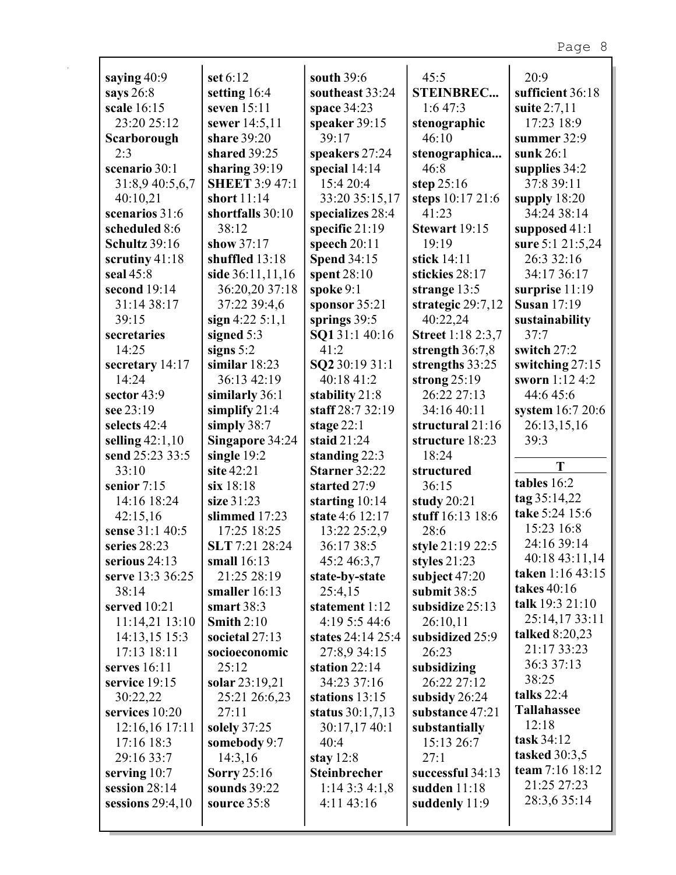| saying 40:9        | set 6:12              | south 39:6          | 45:5                     | 20:9                  |
|--------------------|-----------------------|---------------------|--------------------------|-----------------------|
| says 26:8          | setting 16:4          | southeast 33:24     | <b>STEINBREC</b>         | sufficient 36:18      |
| scale 16:15        | seven 15:11           | space 34:23         | 1:647:3                  | suite 2:7,11          |
| 23:20 25:12        | sewer 14:5,11         | speaker 39:15       | stenographic             | 17:23 18:9            |
| Scarborough        | share 39:20           | 39:17               | 46:10                    | summer 32:9           |
| 2:3                | shared 39:25          | speakers 27:24      | stenographica            | sunk $26:1$           |
| scenario 30:1      | sharing $39:19$       | special 14:14       | 46:8                     | supplies 34:2         |
| 31:8,9 40:5,6,7    | <b>SHEET 3:9 47:1</b> | 15:4 20:4           | step $25:16$             | 37:8 39:11            |
| 40:10,21           | short 11:14           | 33:20 35:15,17      | steps 10:17 21:6         | supply $18:20$        |
| scenarios 31:6     | shortfalls 30:10      | specializes 28:4    | 41:23                    | 34:24 38:14           |
| scheduled 8:6      | 38:12                 | specific 21:19      | Stewart 19:15            | supposed 41:1         |
| Schultz 39:16      | show 37:17            | speech 20:11        | 19:19                    | sure 5:1 21:5,24      |
| scrutiny 41:18     | shuffled 13:18        | <b>Spend 34:15</b>  | stick 14:11              | 26:3 32:16            |
| seal 45:8          | side 36:11,11,16      | spent 28:10         | stickies 28:17           | 34:17 36:17           |
| second 19:14       | 36:20,20 37:18        | spoke 9:1           | strange 13:5             | surprise 11:19        |
| 31:14 38:17        | 37:22 39:4,6          | sponsor $35:21$     | strategic 29:7,12        | <b>Susan</b> 17:19    |
| 39:15              | sign $4:22 \; 5:1,1$  | springs 39:5        | 40:22,24                 | sustainability        |
| secretaries        | signed 5:3            | SQ131:140:16        | <b>Street</b> 1:18 2:3,7 | 37:7                  |
| 14:25              | signs $5:2$           | 41:2                | strength 36:7,8          | switch 27:2           |
| secretary 14:17    | similar $18:23$       | SQ2 30:19 31:1      | strengths 33:25          | switching 27:15       |
| 14:24              | 36:13 42:19           | 40:18 41:2          | strong $25:19$           | sworn 1:12 4:2        |
| sector 43:9        | similarly 36:1        | stability 21:8      | 26:22 27:13              | 44:6 45:6             |
| see 23:19          | simplify $21:4$       | staff 28:7 32:19    | 34:16 40:11              | system 16:7 20:6      |
| selects 42:4       | simply 38:7           | stage $22:1$        | structural 21:16         | 26:13,15,16           |
| selling $42:1,10$  | Singapore 34:24       | staid 21:24         | structure 18:23          | 39:3                  |
| send 25:23 33:5    | single $19:2$         | standing 22:3       | 18:24                    |                       |
| 33:10              | site 42:21            | Starner 32:22       | structured               | T                     |
| senior 7:15        | six 18:18             | started 27:9        | 36:15                    | tables 16:2           |
| 14:16 18:24        | size 31:23            | starting 10:14      | study 20:21              | tag 35:14,22          |
| 42:15,16           | slimmed 17:23         | state 4:6 12:17     | stuff 16:13 18:6         | take 5:24 15:6        |
| sense 31:1 40:5    | 17:25 18:25           | 13:22 25:2,9        | 28:6                     | 15:23 16:8            |
| series 28:23       | SLT 7:21 28:24        | 36:17 38:5          | style 21:19 22:5         | 24:16 39:14           |
| serious 24:13      | small 16:13           | 45:2 46:3,7         | styles $21:23$           | 40:18 43:11,14        |
| serve 13:3 36:25   | 21:25 28:19           | state-by-state      | subject 47:20            | taken 1:16 43:15      |
| 38:14              | smaller $16:13$       | 25:4,15             | submit 38:5              | takes 40:16           |
| served 10:21       | smart $38:3$          | statement 1:12      | subsidize 25:13          | talk 19:3 21:10       |
| 11:14,21 13:10     | Smith $2:10$          | 4:19 5:5 44:6       | 26:10,11                 | 25:14,1733:11         |
| 14:13,15 15:3      | societal $27:13$      | states 24:14 25:4   | subsidized 25:9          | <b>talked</b> 8:20,23 |
| 17:13 18:11        | socioeconomic         | 27:8,9 34:15        | 26:23                    | 21:17 33:23           |
| serves $16:11$     | 25:12                 | station $22:14$     | subsidizing              | 36:3 37:13            |
| service 19:15      | solar 23:19,21        | 34:23 37:16         | 26:22 27:12              | 38:25                 |
| 30:22,22           | 25:21 26:6,23         | stations 13:15      | subsidy 26:24            | talks $22:4$          |
| services 10:20     | 27:11                 | status $30:1,7,13$  | substance 47:21          | <b>Tallahassee</b>    |
| 12:16,16 17:11     | solely 37:25          | 30:17,17 40:1       | substantially            | 12:18                 |
| 17:16 18:3         | somebody 9:7          | 40:4                | 15:13 26:7               | task 34:12            |
| 29:16 33:7         | 14:3,16               | stay $12:8$         | 27:1                     | tasked 30:3,5         |
| serving $10:7$     | Sorry $25:16$         | <b>Steinbrecher</b> | successful 34:13         | team 7:16 18:12       |
| session 28:14      | sounds 39:22          | 1:143:34:1,8        | sudden $11:18$           | 21:25 27:23           |
| sessions $29:4,10$ | source 35:8           | 4:11 43:16          | suddenly 11:9            | 28:3,6 35:14          |
|                    |                       |                     |                          |                       |
|                    |                       |                     |                          |                       |

÷.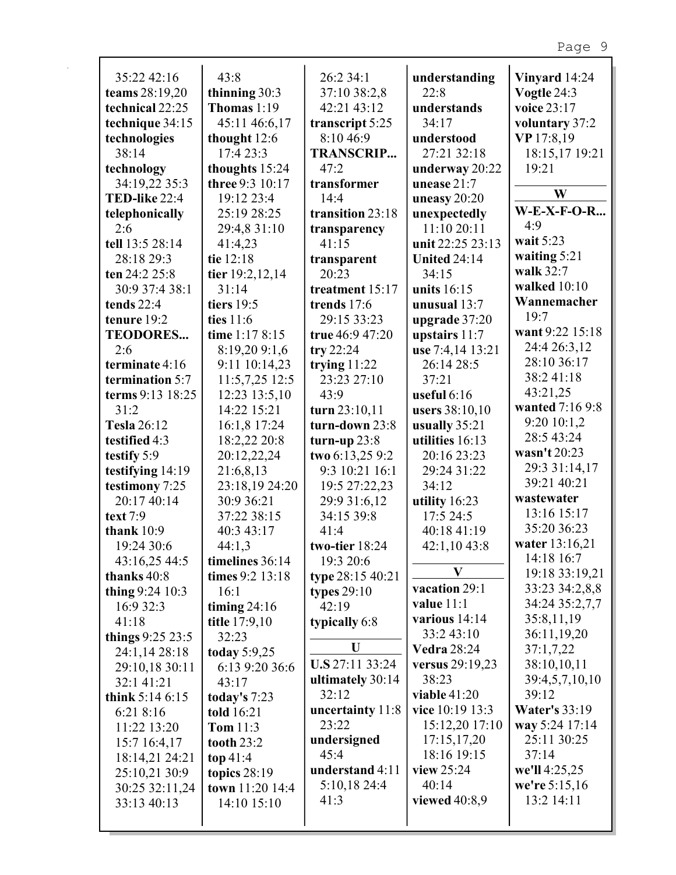| 35:22 42:16          | 43:8              | 26:2 34:1        | understanding       | Vinyard 14:24        |
|----------------------|-------------------|------------------|---------------------|----------------------|
| teams 28:19,20       | thinning 30:3     | 37:10 38:2,8     | 22:8                | Vogtle 24:3          |
| technical 22:25      | Thomas 1:19       | 42:21 43:12      | understands         | voice 23:17          |
| technique 34:15      | 45:11 46:6,17     | transcript 5:25  | 34:17               | voluntary 37:2       |
| technologies         | thought 12:6      | 8:10 46:9        | understood          | VP 17:8,19           |
| 38:14                | 17:4 23:3         | <b>TRANSCRIP</b> | 27:21 32:18         | 18:15,17 19:21       |
| technology           | thoughts 15:24    | 47:2             | underway 20:22      | 19:21                |
| 34:19,22 35:3        | three 9:3 10:17   | transformer      | unease 21:7         |                      |
| <b>TED-like 22:4</b> | 19:12 23:4        | 14:4             | uneasy $20:20$      | W                    |
| telephonically       | 25:19 28:25       | transition 23:18 | unexpectedly        | $W-E-X-F-O-R$        |
| 2:6                  | 29:4,8 31:10      | transparency     | 11:10 20:11         | 4:9                  |
| tell 13:5 28:14      | 41:4,23           | 41:15            | unit 22:25 23:13    | wait 5:23            |
| 28:18 29:3           | tie 12:18         | transparent      | <b>United 24:14</b> | waiting $5:21$       |
| ten 24:2 25:8        | tier 19:2,12,14   | 20:23            | 34:15               | walk 32:7            |
| 30:9 37:4 38:1       | 31:14             | treatment 15:17  | units 16:15         | walked 10:10         |
| tends 22:4           | tiers $19:5$      | trends 17:6      | unusual 13:7        | Wannemacher          |
| tenure 19:2          | ties $11:6$       | 29:15 33:23      | upgrade 37:20       | 19:7                 |
| <b>TEODORES</b>      | time 1:17 8:15    | true 46:9 47:20  | upstairs $11:7$     | want 9:22 15:18      |
| 2:6                  | 8:19,20 9:1,6     | try $22:24$      | use 7:4,14 13:21    | 24:4 26:3,12         |
| terminate 4:16       | 9:11 10:14,23     | trying $11:22$   | 26:14 28:5          | 28:10 36:17          |
| termination 5:7      | 11:5,7,25 12:5    | 23:23 27:10      | 37:21               | 38:241:18            |
| terms 9:13 18:25     | 12:23 13:5,10     | 43:9             | useful $6:16$       | 43:21,25             |
| 31:2                 | 14:22 15:21       | turn 23:10,11    | users 38:10,10      | wanted 7:16 9:8      |
| <b>Tesla 26:12</b>   | 16:1,8 17:24      | turn-down 23:8   | usually 35:21       | 9:20 10:1,2          |
| testified 4:3        | 18:2,22 20:8      | turn-up $23:8$   | utilities 16:13     | 28:5 43:24           |
| testify 5:9          | 20:12,22,24       | two 6:13,25 9:2  | 20:16 23:23         | wasn't 20:23         |
| testifying 14:19     | 21:6,8,13         | 9:3 10:21 16:1   | 29:24 31:22         | 29:3 31:14,17        |
| testimony 7:25       | 23:18,19 24:20    | 19:5 27:22,23    | 34:12               | 39:21 40:21          |
| 20:17 40:14          | 30:9 36:21        | 29:9 31:6,12     | utility 16:23       | wastewater           |
| text 7:9             | 37:22 38:15       | 34:15 39:8       | 17:5 24:5           | 13:16 15:17          |
| thank $10:9$         | 40:3 43:17        | 41:4             | 40:18 41:19         | 35:20 36:23          |
| 19:24 30:6           | 44:1,3            | two-tier 18:24   | 42:1,10 43:8        | water 13:16,21       |
| 43:16,25 44:5        | timelines 36:14   | 19:3 20:6        |                     | 14:18 16:7           |
| thanks 40:8          | times 9:2 13:18   | type 28:15 40:21 | $\bf{V}$            | 19:18 33:19,21       |
| thing 9:24 10:3      | 16:1              | types $29:10$    | vacation 29:1       | 33:23 34:2,8,8       |
| 16:9 32:3            | timing $24:16$    | 42:19            | value $11:1$        | 34:24 35:2,7,7       |
| 41:18                | title 17:9,10     | typically 6:8    | various 14:14       | 35:8,11,19           |
| things $9:25\,23:5$  | 32:23             |                  | 33:2 43:10          | 36:11,19,20          |
| 24:1,14 28:18        | today $5:9,25$    | U                | <b>Vedra 28:24</b>  | 37:1,7,22            |
| 29:10,18 30:11       | 6:13 9:20 36:6    | U.S 27:11 33:24  | versus 29:19,23     | 38:10,10,11          |
| 32:1 41:21           | 43:17             | ultimately 30:14 | 38:23               | 39:4,5,7,10,10       |
| think $5:146:15$     | today's $7:23$    | 32:12            | viable $41:20$      | 39:12                |
| 6:21 8:16            | told 16:21        | uncertainty 11:8 | vice 10:19 13:3     | <b>Water's 33:19</b> |
| 11:22 13:20          | Tom 11:3          | 23:22            | 15:12,20 17:10      | way 5:24 17:14       |
| 15:716:4,17          | <b>tooth 23:2</b> | undersigned      | 17:15,17,20         | 25:11 30:25          |
| 18:14,21 24:21       | top $41:4$        | 45:4             | 18:16 19:15         | 37:14                |
| 25:10,21 30:9        | topics $28:19$    | understand 4:11  | view 25:24          | we'll 4:25,25        |
| 30:25 32:11,24       | town 11:20 14:4   | 5:10,18 24:4     | 40:14               | we're 5:15,16        |
| 33:13 40:13          | 14:10 15:10       | 41:3             | viewed $40:8,9$     | 13:2 14:11           |
|                      |                   |                  |                     |                      |